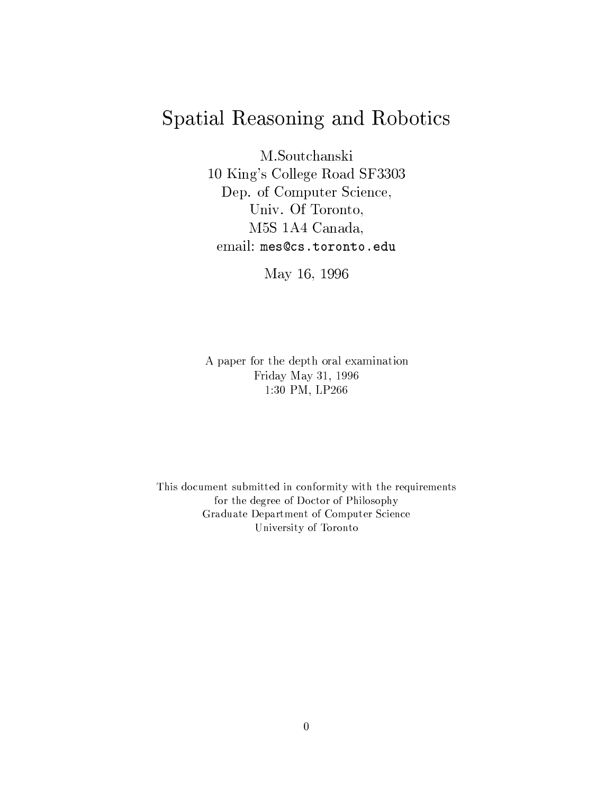# Spatial Reasoning and Robotics

M.Soutchanski

10 King's College Road SF3303 Dep. of Computer Science, Univ. Of Toronto, M5S 1A4 Canada, email: mes@cs.toronto.edu

May 16, 1996

A paper for the depth oral examination Friday May 31, 1996 1:30 PM, LP266

This document submitted in conformity with the requirements for the degree of Doctor of Philosophy Graduate Department of Computer Science University of Toronto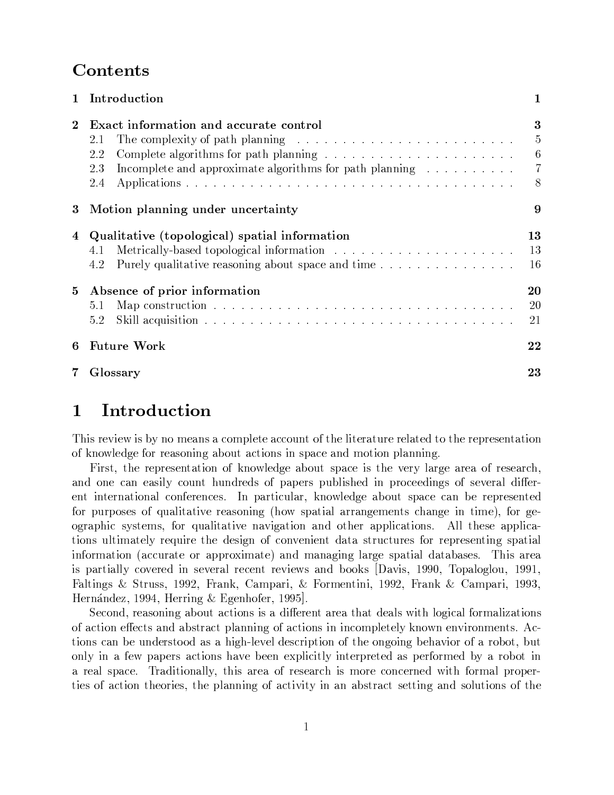## the contract of the contract of the contract of the contract of the contract of the contract of the contract of

| T              | Introduction                                                                                                                                                                                                                     |                       |
|----------------|----------------------------------------------------------------------------------------------------------------------------------------------------------------------------------------------------------------------------------|-----------------------|
| $\overline{2}$ | <b>Exact information and accurate control</b><br>2.1<br>Complete algorithms for path planning $\ldots \ldots \ldots \ldots \ldots \ldots \ldots$<br>2.2<br>Incomplete and approximate algorithms for path planning<br>2.3<br>2.4 | 3<br>5<br>6<br>7<br>8 |
| 3              | Motion planning under uncertainty                                                                                                                                                                                                | 9                     |
| 4              | Qualitative (topological) spatial information<br>4.1<br>4.2                                                                                                                                                                      | 13<br>13<br>16        |
| $5^{\circ}$    | Absence of prior information<br>5.1<br>5.2                                                                                                                                                                                       | 20<br>20<br>21        |
| 6              | <b>Future Work</b>                                                                                                                                                                                                               | 22                    |
|                | Glossary                                                                                                                                                                                                                         | 23                    |

 

## 1 Introduction

This review is by no means a complete account of the literature related to the representation of knowledge for reasoning about actions in space and motion planning.

>¶n3~~|3~J>¶~É`}O.9t]Qjs9~\*6O~@}crf3?>µ|r}4®~@E>IQ~i)~¢}.6O~-}~}-.¾~>¶~È}.R4`\$ and one can easily count hundreds of papers published in proceedings of several different international conferences. In particular, knowledge about space can be represented |"f3|r>¶~>.5h-fr}.9 }.=i)~~}e>¶Q"6+3@>¶|r}}¾}.`}"6~~]>4`r}"6~-99~ 0O6~a  $\alpha$ ) ographic systems, for qualitative navigation and other applications. All these applications ultimately require the design of convenient data structures for representing spatial É}.9=}e4P4f3}.~-}|3|3É}~k}r}r}j6O"6F}6~Z>µ|r}.}±3}`}cr}>µ~>2}3n3E>}.~È} is partially covered in several recent reviews and books  $[Davis, 1990, Topaloglou, 1991,$ Faltings & Struss, 1992, Frank, Campari, & Formentini, 1992, Frank & Campari, 1993, Hernández, 1994, Herring & Egenhofer, 1995.

Second, reasoning about actions is a different area that deals with logical formalizations of action effects and abstract planning of actions in incompletely known environments. Actions can be understood as a high-level description of the ongoing behavior of a robot, but only in a few papers actions have been explicitly interpreted as performed by a robot in a real space. Traditionally, this area of research is more concerned with formal properties of action theories, the planning of activity in an abstract setting and solutions of the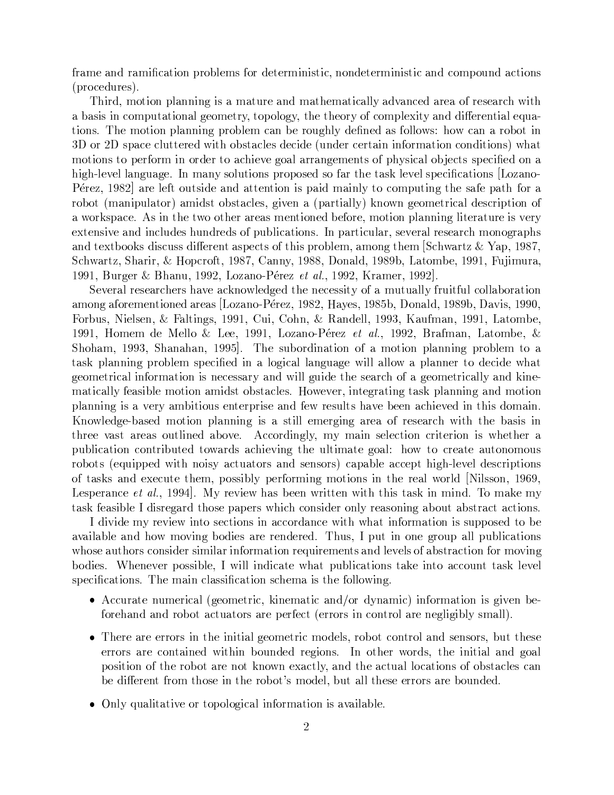frame and ramification problems for deterministic, nondeterministic and compound actions  $(procedures).$ 

Third, motion planning is a mature and mathematically advanced area of research with a basis in computational geometry, topology, the theory of complexity and differential equa-9>23n3~k|3}.3Q"6·|3ec3~ 4}.|cr~kf,639@É~-r3~ }>n9> nQj 4}.;}Lcr±9 3D or 2D space cluttered with obstacles decide (under certain information conditions) what motions to perform in order to achieve goal arrangements of physical objects specified on a high-level language. In many solutions proposed so far the task level specifications [Lozano- ®¦~~u§)iFO¤ <sup>ª</sup> }.~~® ef3R>µ]~·}r-}.~É9@v> |r}@}39¡?4|"f39"6·3~#>}È~|}.-»} ecr#U}3|,f3}s},>¶Hc>µ`}4®~>®o6=i)~F}|U|}.} t]3s/6O~~v4}.ÃÉ~>4|3O-. a workspace. As in the two other areas mentioned before, motion planning literature is very  $extensive and includes hundreds of publications. In particular, several research monographs$ }.L~]`cr)t,>n]v>4f>`>]p~~]0}>¶|r~4®R>&.u3v>0|QcQ~-O}."6¾Q~r sO4Os}`§£d}.|uF-B) sO4`\*}.§)"s)r}9"£ ¥O|X4KF-B)o<d}.Q])peFF]X¡Or}.KKFc\$\$£p}.Ocr~)r]O f#f3`}É  $\frac{1}{2}$  . Only  $\frac{1}{2}$  . Only  $\frac{1}{2}$  is a social contract of  $\frac{1}{2}$  . On  $\frac{1}{2}$ 

Several researchers have acknowledged the necessity of a mutually fruitful collaboration }."6b}ÈO~~]Q~¾}.~È}> £r§È}.3aµ ®¦~~P§)3F¤É ¥})~> )F;c\$O¡}.p3eFjcu-¡±}Pi]v> 3O] Forbus, Nielsen, & Faltings, 1991, Cui, Cohn, & Randell, 1993, Kaufman, 1991, Latombe,  $\mathcal{L}=\mathcal{L}=\mathcal{L}=\mathcal{L}=\mathcal{L}=\mathcal{L}=\mathcal{L}=\mathcal{L}=\mathcal{L}=\mathcal{L}=\mathcal{L}=\mathcal{L}=\mathcal{L}=\mathcal{L}=\mathcal{L}=\mathcal{L}=\mathcal{L}=\mathcal{L}=\mathcal{L}=\mathcal{L}=\mathcal{L}=\mathcal{L}=\mathcal{L}=\mathcal{L}=\mathcal{L}=\mathcal{L}=\mathcal{L}=\mathcal{L}=\mathcal{L}=\mathcal{L}=\mathcal{L}=\mathcal{L}=\mathcal{L}=\mathcal{L}=\mathcal{L}=\mathcal{L}=\mathcal{$ s). Soon as a 23n3~Zoon and 23n3~Zoon and 23n3~Zoon and 23n3~Zoon and 23n3~Zoon and 23n3+20 in 2014. On 24n3+20 task planning problem specified in a logical language will allow a planner to decide what 6~~v4}.p]O}O@v>3~J4~>>}.-}.|s6ef3É~Q~#>¶~}R4`@. }6O~~E4}}.|t]93~a  $\frac{1}{2}$  , and  $\frac{1}{2}$  , and  $\frac{1}{2}$  in the  $\frac{1}{2}$   $\frac{1}{2}$   $\frac{1}{2}$   $\frac{1}{2}$   $\frac{1}{2}$   $\frac{1}{2}$   $\frac{1}{2}$   $\frac{1}{2}$   $\frac{1}{2}$   $\frac{1}{2}$   $\frac{1}{2}$   $\frac{1}{2}$   $\frac{1}{2}$   $\frac{1}{2}$   $\frac{1}{2}$   $\frac{1}{2}$   $\frac{1}{2}$   $\$ |3}.339"6v> }i)~}.#c3ef>n~É~|3v>¶~I}r ~P^~>&fQR>Hr}Pi)~cr~~;}4`3~Pi)~È 9-3v> É}2 Knowledge-based motion planning is a still emerging area of research with the basis in three vast areas outlined above. Accordingly, my main selection criterion is whether a |"f"cQE4}.94Éc"f3~}.`,>}4`3~ui]9"6 3~/f39}.~?6O)}.5 3 )4~}.~-}f3O3ef> robots (equipped with noisy actuators and sensors) capable accept high-level descriptions .b`}e>&t,>¡}r¢~É~4f3~3~-i|r->`>¶=c3¢|r~µ"6 O>9 3~~}\_d 9E>>µ\$sO] Lesperance *et al.*, 1994. My review has been written with this task in mind. To make my task feasible I disregard those papers which consider only reasoning about abstract actions.

As]iÉÉ~±¡·~ui]9~P 9]>µ~4I>9@}e4P4O`3}4~s9sr}.±9]}.O v>>&f3|Q|>¶~-#cr~ available and how moving bodies are rendered. Thus, I put in one group all publications whose authors consider similar information requirements and levels of abstraction for moving bodies. Whenever possible, I will indicate what publications take into account task level specifications. The main classification schema is the following.

- $\mathcal{A}$  and  $\mathcal{A}$ . The state  $\mathcal{A}$ . The state  $\mathcal{A}$  is the state  $\mathcal{A}$ forehand and robot actuators are perfect (errors in control are negligibly small).
- $\bullet$  There are errors in the initial geometric models, robot control and sensors, but these  $z=0.2$  . The set of the set of the set of the set of the set of the set of the set of the set of the set of the set of the set of the set of the set of the set of the set of the set of the set of the set of the set of th position of the robot are not known exactly, and the actual locations of obstacles can be different from those in the robot's model, but all these errors are bounded.
- Only qualitative or topological information is available.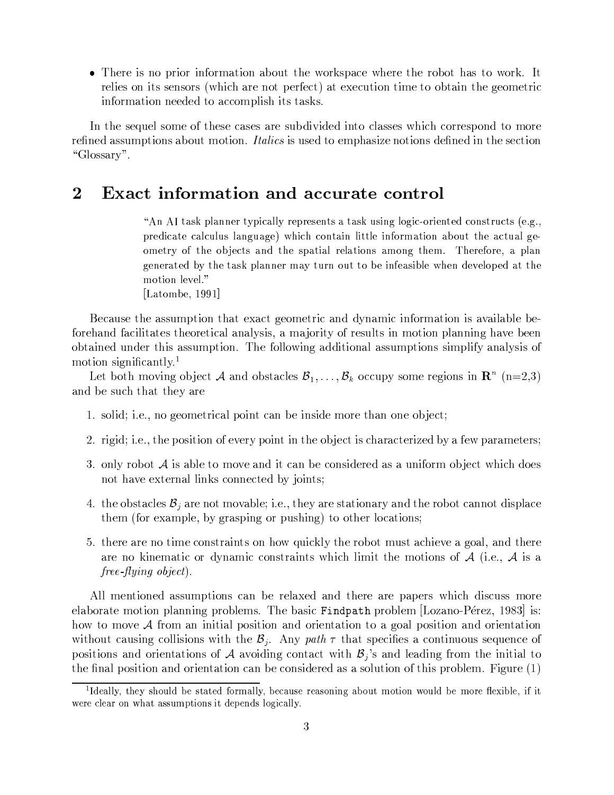• There is no prior information about the workspace where the robot has to work. It relies on its sensors (which are not perfect) at execution time to obtain the geometric information needed to accomplish its tasks.

In the sequel some of these cases are subdivided into classes which correspond to more refined assumptions about motion. *Italics* is used to emphasize notions defined in the section "Glossary".

### $\bf{2}$ **Exact information and accurate control**

"An AI task planner typically represents a task using logic-oriented constructs (e.g., predicate calculus language) which contain little information about the actual geometry of the objects and the spatial relations among them. Therefore, a plan generated by the task planner may turn out to be infeasible when developed at the motion level."

[Latombe, 1991]

Because the assumption that exact geometric and dynamic information is available beforehand facilitates theoretical analysis, a majority of results in motion planning have been obtained under this assumption. The following additional assumptions simplify analysis of motion significantly.<sup>1</sup>

Let both moving object A and obstacles  $\mathcal{B}_1, \ldots, \mathcal{B}_k$  occupy some regions in  $\mathbb{R}^n$  (n=2,3) and be such that they are

- 1. solid; i.e., no geometrical point can be inside more than one object;
- 2. rigid; i.e., the position of every point in the object is characterized by a few parameters;
- 3. only robot  $A$  is able to move and it can be considered as a uniform object which does not have external links connected by joints;
- 4. the obstacles  $B_j$  are not movable; i.e., they are stationary and the robot cannot displace them (for example, by grasping or pushing) to other locations;
- 5. there are no time constraints on how quickly the robot must achieve a goal, and there are no kinematic or dynamic constraints which limit the motions of  $A$  (i.e.,  $A$  is a  $free$ -flying object).

All mentioned assumptions can be relaxed and there are papers which discuss more elaborate motion planning problems. The basic Findpath problem [Lozano-Pérez, 1983] is: how to move  $A$  from an initial position and orientation to a goal position and orientation without causing collisions with the  $\mathcal{B}_j$ . Any path  $\tau$  that specifies a continuous sequence of positions and orientations of A avoiding contact with  $B_j$ 's and leading from the initial to the final position and orientation can be considered as a solution of this problem. Figure  $(1)$ 

<sup>&</sup>lt;sup>1</sup>Ideally, they should be stated formally, because reasoning about motion would be more flexible, if it were clear on what assumptions it depends logically.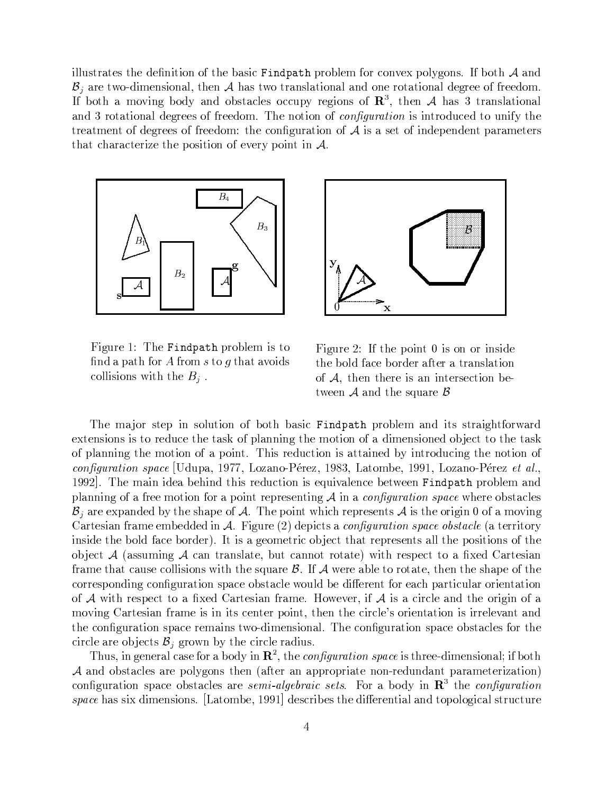$\frac{1}{2}$  . The ratio is the contract of the contract of the contract of the contract of the contract of the contract of the contract of the contract of the contract of the contract of the contract of the contract of the  $\mathcal{B}_j$  are two-dimensional, then  $\mathcal{A}$  has two translational and one rotational degree of freedom. If both a moving body and obstacles occupy regions of  $\mathbb{R}^{3}$ , then A has 3 translational }.-L`}9r}]~P6O~~>s.~~]O/2\_3nQ~3OO-.;QX6V-W&O -X6V¡E>sÉÉOf4~f3Q 3~ ~}.~Énd]~P6O~~>s.~~]O-&3~546f3}.-?:Zv> }#>¶~H.d9r]~|r~rÉ~]s|}.`}~~R> that characterize the position of every point in  $\mathcal{A}$ .



Figure 1: The Findpath problem is to find a path for A from s to q that avoids collisions with the  $B_j$ .



6ef3~X¤]AUd3~k|Oɾ¡v>O-±9>¶ ]~ the bold face border after a translation of  $A$ , then there is an intersection between  $A$  and the square  $B$ 

The major step in solution of both basic Findpath problem and its straightforward extensions is to reduce the task of planning the motion of a dimensioned object to the task of planning the motion of a point. This reduction is attained by introducing the notion of w Om-Siente de Latin de Latin de Latin de Latin de Latin de Latin de Latin de Latin de Latin de Latin de Latin 1992. The main idea behind this reduction is equivalence between Findpath problem and |3}.339"6"}»~~sOLOs}±|rÉn~|3~>¶~É9"6L: 9} QX6V-W&O -X6VCzg6- s3~~HcI>¶`}e4~J>  $B_{j}$  are expanded by the shape of  $A$ . The point which represents  $A$  is the origin 0 of a moving  $\alpha$  . A set of the set of the set of the set of the set of the set of the set of the set of the set of the set of the set of the set of the set of the set of the set of the set of the set of the set of the set of the set inside the bold face border). It is a geometric object that represents all the positions of the object  $\mathcal A$  (assuming  $\mathcal A$  can translate, but cannot rotate) with respect to a fixed Cartesian `}~s}. 4}jfI>¶~n49E>µO>s¡3~n>h-fr}.~<82AU:n~~b}jc39~s¾O`}.~)]3~·3~>µr}.|r~±\$3~ corresponding configuration space obstacle would be different for each particular orientation .:-s-~>¶|r~4® @} rÉ~<d}~J>¶}@`}~-2 ¥n~ui)~3¸#: v>±}?44~k}. 3~I69-.} moving Cartesian frame is in its center point, then the circle's orientation is irrelevant and the configuration space remains two-dimensional. The configuration space obstacles for the circle are objects  $\mathcal{B}_i$  grown by the circle radius.

 $3.5^{+1.5}_{-1.6}$  and  $3.7^{+1.5}_{-1.6}$  and  $3.7^{+1.5}_{-1.6}$  and  $3.7^{+1.5}_{-1.6}$  and  $3.7^{+1.5}_{-1.6}$  and  $3.7^{+1.5}_{-1.6}$  and  $3.7^{+1.5}_{-1.6}$  and  $3.7^{+1.5}_{-1.6}$  and  $3.7^{+1.5}_{-1.6}$  and  $3.7^{+1.5}_{-1.6}$  and  $3.7^{+1.5}_{ {\cal A}$  and obstacles are polygons then (after an appropriate non-redundant parameterization) 4O6fQ`}.O+>¶|}4~cI>¶`}e4~J>}.~-- <sup>P</sup> /W ZvO6- 2O·}|cÉÉ 9 @ 3~jQX6V-W Om-X6Vzg6-Kr}e>>¶k]9~>µO>2 £p}.#c~ 3O] <sup>ª</sup> ]~J>4cr~>\$3~ ]p~~]}3}rO|Oe6E4}.>µfI4f3~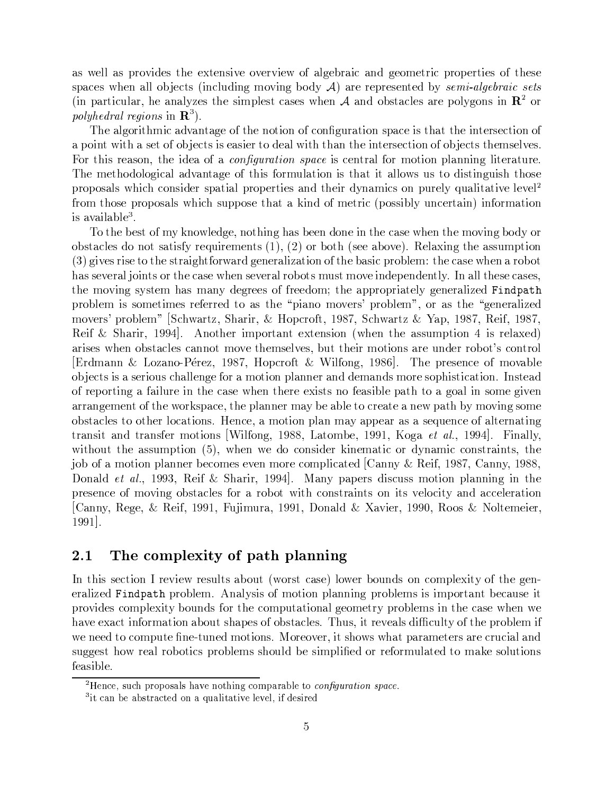as well as provides the extensive overview of algebraic and geometric properties of these spaces when all objects (including moving body  $\mathcal{A}$ ) are represented by semi-algebraic sets (in particular, he analyzes the simplest cases when A and obstacles are polygons in  $\mathbb{R}^2$  or *polyhedral regions* in  $\mathbf{R}^3$ .

The algorithmic advantage of the notion of configuration space is that the intersection of a point with a set of objects is easier to deal with than the intersection of objects themselves. For this reason, the idea of a *configuration space* is central for motion planning literature. The methodological advantage of this formulation is that it allows us to distinguish those proposals which consider spatial properties and their dynamics on purely qualitative level<sup>2</sup> from those proposals which suppose that a kind of metric (possibly uncertain) information is available<sup>3</sup>.

To the best of my knowledge, nothing has been done in the case when the moving body or obstacles do not satisfy requirements  $(1), (2)$  or both (see above). Relaxing the assumption (3) gives rise to the straightforward generalization of the basic problem: the case when a robot has several joints or the case when several robots must move independently. In all these cases, the moving system has many degrees of freedom; the appropriately generalized Findpath problem is sometimes referred to as the "piano movers' problem", or as the "generalized movers' problem" [Schwartz, Sharir, & Hopcroft, 1987, Schwartz & Yap, 1987, Reif, 1987, Reif & Sharir, 1994. Another important extension (when the assumption 4 is relaxed) arises when obstacles cannot move themselves, but their motions are under robot's control [Erdmann & Lozano-Pérez, 1987, Hopcroft & Wilfong, 1986]. The presence of movable objects is a serious challenge for a motion planner and demands more sophistication. Instead of reporting a failure in the case when there exists no feasible path to a goal in some given arrangement of the workspace, the planner may be able to create a new path by moving some obstacles to other locations. Hence, a motion plan may appear as a sequence of alternating transit and transfer motions Wilfong, 1988, Latombe, 1991, Koga et al., 1994. Finally, without the assumption (5), when we do consider kinematic or dynamic constraints, the job of a motion planner becomes even more complicated Canny & Reif, 1987, Canny, 1988, Donald *et al.*, 1993, Reif & Sharir, 1994. Many papers discuss motion planning in the presence of moving obstacles for a robot with constraints on its velocity and acceleration [Canny, Rege, & Reif, 1991, Fujimura, 1991, Donald & Xavier, 1990, Roos & Noltemeier,  $1991$ .

#### The complexity of path planning  $2.1$

In this section I review results about (worst case) lower bounds on complexity of the generalized Findpath problem. Analysis of motion planning problems is important because it provides complexity bounds for the computational geometry problems in the case when we have exact information about shapes of obstacles. Thus, it reveals difficulty of the problem if we need to compute fine-tuned motions. Moreover, it shows what parameters are crucial and suggest how real robotics problems should be simplified or reformulated to make solutions feasible.

<sup>&</sup>lt;sup>2</sup>Hence, such proposals have nothing comparable to *configuration space*.

<sup>&</sup>lt;sup>3</sup>it can be abstracted on a qualitative level, if desired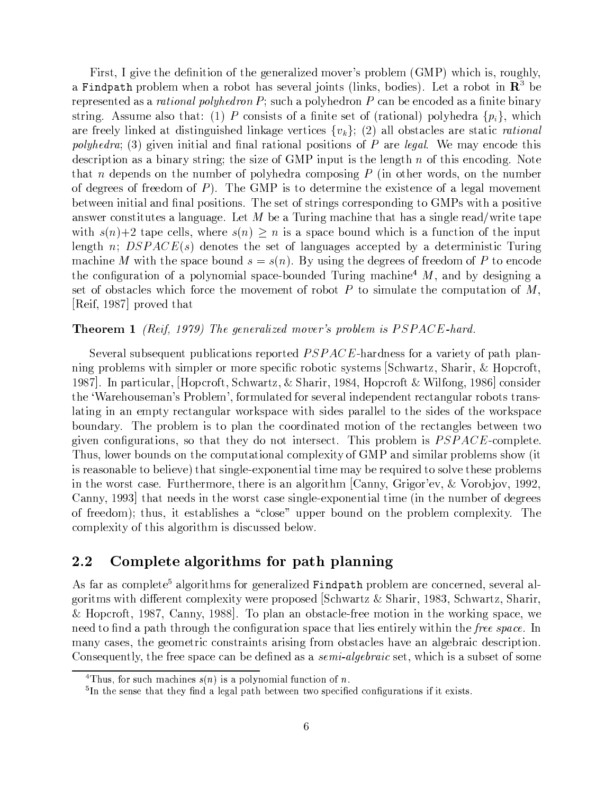$\mathbb{R}^n$  are algebra  $\mathbb{R}^n$  and  $\mathbb{R}^n$  of  $\mathbb{R}^n$  are  $\mathbb{R}^n$  . The same  $\mathbb{R}^n$  are  $\mathbb{R}^n$  and  $\mathbb{R}^n$  are  $\mathbb{R}^n$  and  $\mathbb{R}^n$  are  $\mathbb{R}^n$  and  $\mathbb{R}^n$  are  $\mathbb{R}^n$  and  $\mathbb{R}^n$  a a Findpath problem when a robot has several joints (links, bodies). Let a robot in  $\mathbb{R}^3$  be ~|3~>µ~É~¾}>"}]Om-X6V %gXSh 6O X6VLF->&fI4X} |rÉ3~É-+4}.cr~d~4É]~È}>"} r39~c3}. >¶9"6"2k{>>«f3~X}.E>µr}j 4>µE>µR>±. } r39~®>µ~¾.nU}.}.KH|r9]Q~]`} Éos3v4 }.~L~~9@9"t)~-}ÉE>¶"6ef3E>µ3~-9"tO}j6~#i)~E4®~> <sup>&</sup>gt; &F\_5¤b»}."c>µ`}4®~>k}.~>¶ }.E4AO -X6V  $\mathcal{S}=\mathcal{S}=\mathcal{S}=\mathcal{S}=\mathcal{S}=\mathcal{S}$  . The set of the set of the set of the set of the set of the set of the set of the set of the set of the set of the set of the set of the set of the set of the set of the set of the ]~>`49|39}e> }®c39r}.>µ9"6F33~9>¶=§~±. ±- 3|,f3sE>n3~¾~"6O-."QE>n~4®É]"6,2 ~  $\bullet$  to the set of the set of the set of the set of the set of the set of the set of the set of the set of the set of the set of the set of the set of the set of the set of the set of the set of the set of the set of the .]~P6O~~>±n~~] .:23n3~Y b- v>± ]~~93~3~I~ÉE>µ~4®~.b}9~P6)}&i)~~®] cr~«n~~I39}3}r rr}.Q|>¶9O>2 3n3~>µ~.%>¶,6->4~>µ|rr]9"6- ±- >gs·}±|>¶9i)~ answer constitutes a language. Let M be a Turing machine that has a single read/write tape s -zb¤`}|r~?4~9E> Xs3~~ -z¢E>¾}|>µ|r}4®~crfQrs3v4-v>}¡f3I49F.s3~·3|"fQ length n;  $DSPACE(s)$  denotes the set of languages accepted by a deterministic Turing machine M with the space bound  $s = s(n)$ . By using the degrees of freedom of P to encode the configuration of a polynomial space-bounded Turing machine<sup>4</sup>  $M$ , and by designing a set of obstacles which force the movement of robot  $P$  to simulate the computation of  $M$ ,  $\lvert \text{Reif, 1987} \rvert$  proved that

### $\blacksquare$  . The state of the state of the state of the state of the state of the state of the state of the state of the state of the state of the state of the state of the state of the state of the state of the state of the

Several subsequent publications reported  $PSPACE$ -hardness for a variety of path plan-39"6¡|QcQ~?>s|>µ|Q~HO~8>µ|~J4X4HcrOE49>¶,>¶~?> sO4`\*}.`§)'s r}.£ ¥|X4. 1987. In particular, Hopcroft, Schwartz, & Sharir, 1984, Hopcroft & Wilfong, 1986 consider the 'Warehouseman's Problem', formulated for several independent rectangular robots translating in an empty rectangular workspace with sides parallel to the sides of the workspace boundary. The problem is to plan the coordinated motion of the rectangles between two 6=i)~)4O6ef3`}O> >¶-r}.I3~ ]-3OIÉ~>¶~4u2|3nQE>|3c39~ v>A !#"a«4O|39~~-2 3nOf> )d~gcrf3">7O3~4®|"fQ`}.Or}.X4O|3~]9=±.M b- ¢}.r>¶}\$|3ec3~?>g>¶QjH is reasonable to believe) that single-exponential time may be required to solve these problems  $37.4$  for  $11.3$  for  $1.3$  for  $1.4$  for  $1.4$  for  $1.4$  for  $1.3$  for  $1.3$  for  $1.3$  for  $1.3$  for  $1.3$  for  $1.3$  for  $1.3$  for  $1.3$  for  $1.3$  for  $1.3$  for  $1.3$  for  $1.3$  for  $1.3$  for  $1.3$  for  $1.3$  for  $1.3$  for Canny, 1993 that needs in the worst case single-exponential time (in the number of degrees of freedom); thus, it establishes a "close" upper bound on the problem complexity. The complexity of this algorithm is discussed below.

## $2.2\quad$  Complete algorithms for path planning  $\;$

As far as complete<sup>5</sup> algorithms for generalized Findpath problem are concerned, several algoritms with different complexity were proposed Schwartz & Sharir, 1983, Schwartz, Sharir, £ ¥O|o4®.&eFbB <d}3É)iFeF <sup>ª</sup> 283\$|3}-}-c>µ`}4®~a~~kO@ 3~9nOtÉ"6?>µ|r}4®~)'d~  $3-2$  and  $3-2$  and  $3-2$  and  $3-2$  and  $3-2$  and  $3-2$  and  $3-2$  and  $3-2$  and  $3-2$  $\mu$  many cases, the geometric constraints arising from obstacles have an algebraic description.  $\sim$  . In the fact that the state of the state of the state of the state of the state of the state of the state of the state of the state of the state of the state of the state of the state of the state of the state of the

 $\bar{z}$  , we can also found the position of the position  $\bar{z}$ 

Rlw|x%oK{yoz%{|o w|x,pQww|x~ozsSU~n <sup>p</sup> qrozvpQq,UpQwyxUozwGozoz]wG}?{yUozTS,oznz} USU\*~ pQwyr}\*%{2 rwozvr{|wy{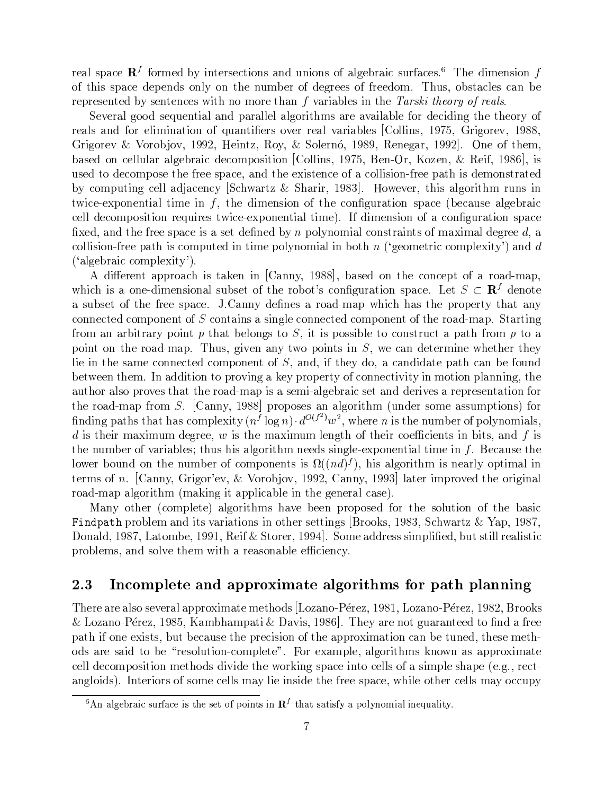~È}.>µ|r}4~ @LO~ÈcÉ@É~R>¶~J49>±}r/f33O>±.b}6~uc3`}E4®>&fQ¶5}4®~>2-+3n3~]~>¶9 of this space depends only on the number of degrees of freedom. Thus, obstacles can be  $\blacksquare$  . The state of the state of the state of the state of the state of the state of the state of the state of the state of the state of the state of the state of the state of the state of the state of the state of the

 $\sim$  . It is that is a pion of the state  $\sim$  . It is a pion of the state  $\sim$ ~È}.E>·}. ~9r}9F.5hbf}.É~R>i)~I~}.iO}. }jc39~> <O9>®±-B;]T 6O~uiK±FeF]  $\Omega$  \*  $\Omega$  Boti Botipson  $\Omega$  and  $\Omega$  is  $\Omega$  and  $\Omega$  is  $\Omega$  . The  $\Omega$  is the  $\Omega$  is the  $\Omega$  is the  $\Omega$  is the  $\Omega$  is the  $\Omega$  is the  $\Omega$  is the  $\Omega$  is the  $\Omega$  is the  $\Omega$  is the  $\Omega$  is the  $\Omega$  is the  $\Omega$  i cr}e>¶~ ON4®~=f3}¾}.=6~Pc3}.v4¡]~J4|r>¶O <99> -B;É n~\*a )±§~\$£~ eF <sup>ª</sup> \$v> used to decompose the free space, and the existence of a collision-free path is demonstrated by computing cell adjacency Schwartz & Sharir, 1983. However, this algorithm runs in «sE4~a=~É|r3~]}.d9~ isQ~-]9~>µ .k3~4O6ef3`}O>µ|r}4®~NKcr~4}jf>µ~-}.=6~PcQ`}.v4 4~9]~4®|r->µ-~h-f3~>±&sv4~a5~É|O3~É }.Ã~R2#AU ]~>¶9-.b}?4O6ef3`}O >¶|r}e4~ rÉ~KQ}.r¡3~ ~~8>¶|}4~±v>n}®>µ~s]~r3~cÉ-@|r9]3O}X4>µ}.ÉR>."}.É}.]~P6~~ 3r}  $\frac{1000}{2}$  and  $\frac{1000}{2}$  and  $\frac{1000}{2}$  and  $\frac{1000}{2}$  and  $\frac{1000}{2}$  $($  'algebraic complexity').

{ ]p~~É·}.|Q|3 }4`E>I`}jt)~ <d}.3É)±FFªµ\_cr}e>¶~O3~q44®~|3I.X}- }ba5}.|u which is a one-dimensional subset of the robot's configuration space. Let  $S \subset \mathbf{R}^f$  denote }/>&f,c>¶~I±3~¡~~?>¶|}4~-2"2 <d}.3É¢É~-r3~>I}@)}Oba=}.|Ns3v4 r}>3~|3O|~µ r}.·}] connected component of S contains a single connected component of the road-map. Starting from an arbitrary point p that belongs to S, it is possible to construct a path from p to a  $\sim$  1) as in the set of  $\sim$  in the set of  $\sim$  . In the set of  $\sim$  4 decays. In the set of  $\sim$  4 decays. In the set of  $\sim$ lie in the same connected component of S, and, if they do, a candidate path can be found between them. In addition to proving a key property of connectivity in motion planning, the author also proves that the road-map is a semi-algebraic set and derives a representation for  $\bullet$  . O  $\bullet$  or  $\bullet$  in the sound of  $\bullet$  and  $\bullet$   $\bullet$   $\bullet$   $\bullet$   $\bullet$   $\bullet$ rrÉ"6¾|r}>&}.&r}e>4|Q~ɵ9 e6 s3~~ ¡v>i3~sOf3#cr~ip|OÉ3}.v>  $\blacksquare$ .d3~1  $\blacksquare$  $F$  , is a cross-cross-cross-cross-cross-cross-cross-cross-cross-cross-cross-cross-cross-cross-cross-cross-cross-cross-cross-cross-cross-cross-cross-cross-cross-cross-cross-cross-cross-cross-cross-cross-cross-cross-crossd=crf3 F3~-Of3cr $\sim$  1  $\sim$  2007  $\sim$  100  $\sim$  100  $\sim$  100  $\sim$  100  $\sim$  100  $\sim$  100  $\sim$  100  $\sim$  100  $\sim$  100  $\sim$  100  $\sim$  100  $\sim$  100  $\sim$  100  $\sim$  100  $\sim$  100  $\sim$  100  $\sim$  100  $\sim$  100  $\sim$  100  $\sim$  100  $\sim$  100 terms of n. [Canny, Grigor'ev, & Vorobjov, 1992, Canny, 1993] later improved the original road-map algorithm (making it applicable in the general case).

-}.É O3~N 4®|39~~eI}6O93?>r}Pi)~Zcr~~^|3|r->µ~ 3~)>µ=f39^·3~Nc}>¶v4  $\overline{S}$ Donald, 1987, Latombe, 1991, Reif & Storer, 1994. Some address simplified, but still realistic problems, and solve them with a reasonable efficiency.

## $2.3$  ) Incomplete and approximate algorithms for path planning

There are also several approximate methods [Lozano-Pérez, 1981, Lozano-Pérez, 1982, Brooks & Lozano-Pérez, 1985, Kambhampati & Davis, 1986. They are not guaranteed to find a free path if one exists, but because the precision of the approximation can be tuned, these meth- $\bullet$  . The state  $\mu$  and  $\bullet$  and  $\bullet$  and  $\bullet$  and  $\bullet$  is the state  $\bullet$  is the state  $\bullet$ cell decomposition methods divide the working space into cells of a simple shape (e.g., rect-}.,6O">RR2 A=]~9R>. >µ~^4~v>&}¡9~±9>¶ ]~±Q~»~~9>¶|r}e4~)Os39~O3~4~v>7}IO4P4f3|]

<sup>&</sup>lt;sup>6</sup>An algebraic surface is the set of points in  $\mathbb{R}^{f}$  that satisfy a polynomial inequality.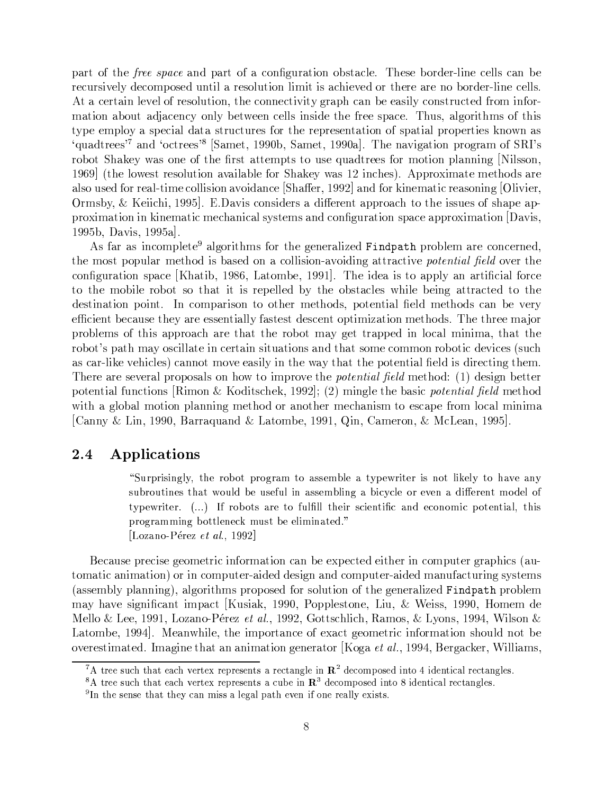part of the *free space* and part of a configuration obstacle. These border-line cells can be recursively decomposed until a resolution limit is achieved or there are no border-line cells. At a certain level of resolution, the connectivity graph can be easily constructed from information about adjacency only between cells inside the free space. Thus, algorithms of this type employ a special data structures for the representation of spatial properties known as 'quadtrees'<sup>7</sup> and 'octrees'<sup>8</sup> [Samet, 1990b, Samet, 1990a]. The navigation program of SRI's robot Shakey was one of the first attempts to use quadtrees for motion planning [Nilsson, 1969 (the lowest resolution available for Shakey was 12 inches). Approximate methods are also used for real-time collision avoidance Shaffer, 1992 and for kinematic reasoning Olivier, Ormsby, & Keiichi, 1995. E.Davis considers a different approach to the issues of shape approximation in kinematic mechanical systems and configuration space approximation Davis, 1995b, Davis,  $1995a$ .

As far as incomplete<sup>9</sup> algorithms for the generalized Findpath problem are concerned, the most popular method is based on a collision-avoiding attractive *potential field* over the configuration space [Khatib, 1986, Latombe, 1991]. The idea is to apply an artificial force to the mobile robot so that it is repelled by the obstacles while being attracted to the destination point. In comparison to other methods, potential field methods can be very efficient because they are essentially fastest descent optimization methods. The three major problems of this approach are that the robot may get trapped in local minima, that the robot's path may oscillate in certain situations and that some common robotic devices (such as car-like vehicles) cannot move easily in the way that the potential field is directing them. There are several proposals on how to improve the *potential field* method: (1) design better potential functions [Rimon & Koditschek, 1992]; (2) mingle the basic *potential field* method with a global motion planning method or another mechanism to escape from local minima Canny & Lin, 1990, Barraquand & Latombe, 1991, Qin, Cameron, & McLean, 1995.

#### Applications 2.4

"Surprisingly, the robot program to assemble a typewriter is not likely to have any subroutines that would be useful in assembling a bicycle or even a different model of typewriter. (...) If robots are to fulfill their scientific and economic potential, this programming bottleneck must be eliminated." [Lozano-Pérez et al., 1992]

Because precise geometric information can be expected either in computer graphics (automatic animation) or in computer-aided design and computer-aided manufacturing systems (assembly planning), algorithms proposed for solution of the generalized Findpath problem may have significant impact [Kusiak, 1990, Popplestone, Liu, & Weiss, 1990, Homem de Mello & Lee, 1991, Lozano-Pérez et al., 1992, Gottschlich, Ramos, & Lyons, 1994, Wilson & Latombe, 1994. Meanwhile, the importance of exact geometric information should not be overestimated. Imagine that an animation generator [Koga *et al.*, 1994, Bergacker, Williams,

<sup>&</sup>lt;sup>7</sup>A tree such that each vertex represents a rectangle in  $\mathbb{R}^2$  decomposed into 4 identical rectangles.

<sup>&</sup>lt;sup>8</sup>A tree such that each vertex represents a cube in  $\mathbb{R}^3$  decomposed into 8 identical rectangles.

<sup>&</sup>lt;sup>9</sup>In the sense that they can miss a legal path even if one really exists.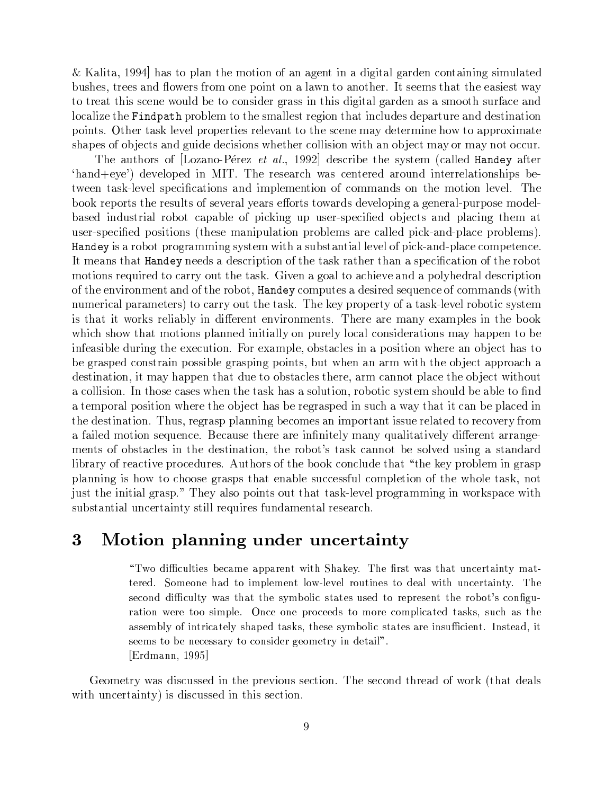& Kalita, 1994 has to plan the motion of an agent in a digital garden containing simulated bushes, trees and flowers from one point on a lawn to another. It seems that the easiest way to treat this scene would be to consider grass in this digital garden as a smooth surface and localize the Findpath problem to the smallest region that includes departure and destination points. Other task level properties relevant to the scene may determine how to approximate shapes of objects and guide decisions whether collision with an object may or may not occur.

The authors of [Lozano-Pérez et al., 1992] describe the system (called Handey after 'hand+eye') developed in MIT. The research was centered around interrelationships between task-level specifications and implemention of commands on the motion level. The book reports the results of several years efforts towards developing a general-purpose modelbased industrial robot capable of picking up user-specified objects and placing them at user-specified positions (these manipulation problems are called pick-and-place problems). Handey is a robot programming system with a substantial level of pick-and-place competence. It means that **Handey** needs a description of the task rather than a specification of the robot motions required to carry out the task. Given a goal to achieve and a polyhedral description of the environment and of the robot, **Handey** computes a desired sequence of commands (with numerical parameters) to carry out the task. The key property of a task-level robotic system is that it works reliably in different environments. There are many examples in the book which show that motions planned initially on purely local considerations may happen to be infeasible during the execution. For example, obstacles in a position where an object has to be grasped constrain possible grasping points, but when an arm with the object approach a destination, it may happen that due to obstacles there, arm cannot place the object without a collision. In those cases when the task has a solution, robotic system should be able to find a temporal position where the object has be regrasped in such a way that it can be placed in the destination. Thus, regrasp planning becomes an important issue related to recovery from a failed motion sequence. Because there are infinitely many qualitatively different arrangements of obstacles in the destination, the robot's task cannot be solved using a standard library of reactive procedures. Authors of the book conclude that "the key problem in grasp planning is how to choose grasps that enable successful completion of the whole task, not just the initial grasp." They also points out that task-level programming in workspace with substantial uncertainty still requires fundamental research.

### 3 Motion planning under uncertainty

"Two difficulties became apparent with Shakey. The first was that uncertainty mattered. Someone had to implement low-level routines to deal with uncertainty. The second difficulty was that the symbolic states used to represent the robot's configuration were too simple. Once one proceeds to more complicated tasks, such as the assembly of intricately shaped tasks, these symbolic states are insufficient. Instead, it seems to be necessary to consider geometry in detail". [Erdmann, 1995]

Geometry was discussed in the previous section. The second thread of work (that deals with uncertainty) is discussed in this section.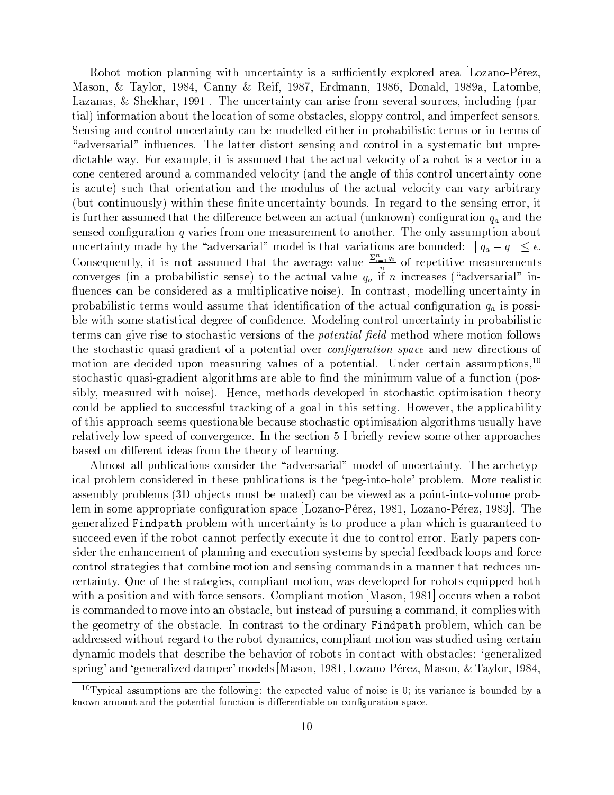Robot motion planning with uncertainty is a sufficiently explored area Lozano-Pérez, Mason, & Taylor, 1984, Canny & Reif, 1987, Erdmann, 1986, Donald, 1989a, Latombe, Lazanas,  $\&$  Shekhar, 1991. The uncertainty can arise from several sources, including (partial) information about the location of some obstacles, sloppy control, and imperfect sensors. Sensing and control uncertainty can be modelled either in probabilistic terms or in terms of "adversarial" influences. The latter distort sensing and control in a systematic but unpredictable way. For example, it is assumed that the actual velocity of a robot is a vector in a cone centered around a commanded velocity (and the angle of this control uncertainty cone is acute) such that orientation and the modulus of the actual velocity can vary arbitrary (but continuously) within these finite uncertainty bounds. In regard to the sensing error, it is further assumed that the difference between an actual (unknown) configuration  $q_a$  and the sensed configuration  $q$  varies from one measurement to another. The only assumption about uncertainty made by the "adversarial" model is that variations are bounded:  $||q_a - q|| \le \epsilon$ . Consequently, it is **not** assumed that the average value  $\frac{\sum_{i=1}^{n} q_i}{n}$  of repetitive measurements converges (in a probabilistic sense) to the actual value  $q_a$  if *n* increases ("adversarial" influences can be considered as a multiplicative noise). In contrast, modelling uncertainty in probabilistic terms would assume that identification of the actual configuration  $q_a$  is possible with some statistical degree of confidence. Modeling control uncertainty in probabilistic terms can give rise to stochastic versions of the *potential field* method where motion follows the stochastic quasi-gradient of a potential over *configuration space* and new directions of motion are decided upon measuring values of a potential. Under certain assumptions,<sup>10</sup> stochastic quasi-gradient algorithms are able to find the minimum value of a function (possibly, measured with noise). Hence, methods developed in stochastic optimisation theory could be applied to successful tracking of a goal in this setting. However, the applicability of this approach seems questionable because stochastic optimisation algorithms usually have relatively low speed of convergence. In the section 5 I briefly review some other approaches based on different ideas from the theory of learning.

Almost all publications consider the "adversarial" model of uncertainty. The archetypical problem considered in these publications is the 'peg-into-hole' problem. More realistic assembly problems (3D objects must be mated) can be viewed as a point-into-volume problem in some appropriate configuration space [Lozano-Pérez, 1981, Lozano-Pérez, 1983]. The generalized Findpath problem with uncertainty is to produce a plan which is guaranteed to succeed even if the robot cannot perfectly execute it due to control error. Early papers consider the enhancement of planning and execution systems by special feedback loops and force control strategies that combine motion and sensing commands in a manner that reduces uncertainty. One of the strategies, compliant motion, was developed for robots equipped both with a position and with force sensors. Compliant motion [Mason, 1981] occurs when a robot is commanded to move into an obstacle, but instead of pursuing a command, it complies with the geometry of the obstacle. In contrast to the ordinary Findpath problem, which can be addressed without regard to the robot dynamics, compliant motion was studied using certain dynamic models that describe the behavior of robots in contact with obstacles: 'generalized spring' and 'generalized damper' models [Mason, 1981, Lozano-Pérez, Mason, & Taylor, 1984,

<sup>&</sup>lt;sup>10</sup>Typical assumptions are the following: the expected value of noise is 0; its variance is bounded by a known amount and the potential function is differentiable on configuration space.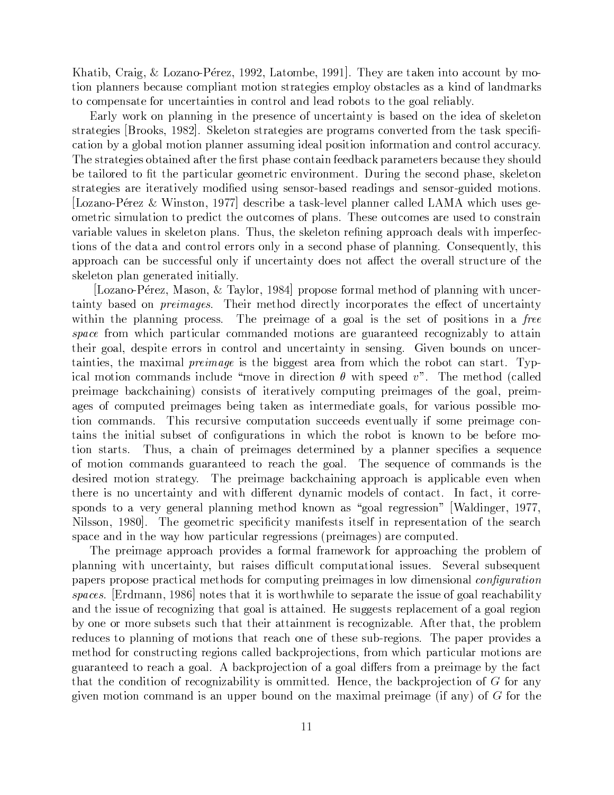Khatib, Craig, & Lozano-Pérez, 1992, Latombe, 1991. They are taken into account by motion planners because compliant motion strategies employ obstacles as a kind of landmarks to compensate for uncertainties in control and lead robots to the goal reliably.

Early work on planning in the presence of uncertainty is based on the idea of skeleton strategies [Brooks, 1982]. Skeleton strategies are programs converted from the task specification by a global motion planner assuming ideal position information and control accuracy. The strategies obtained after the first phase contain feedback parameters because they should be tailored to fit the particular geometric environment. During the second phase, skeleton strategies are iteratively modified using sensor-based readings and sensor-guided motions. [Lozano-Pérez & Winston, 1977] describe a task-level planner called LAMA which uses geometric simulation to predict the outcomes of plans. These outcomes are used to constrain variable values in skeleton plans. Thus, the skeleton refining approach deals with imperfections of the data and control errors only in a second phase of planning. Consequently, this approach can be successful only if uncertainty does not affect the overall structure of the skeleton plan generated initially.

Lozano-Pérez, Mason, & Taylor, 1984 propose formal method of planning with uncertainty based on *preimages*. Their method directly incorporates the effect of uncertainty within the planning process. The preimage of a goal is the set of positions in a free space from which particular commanded motions are guaranteed recognizably to attain their goal, despite errors in control and uncertainty in sensing. Given bounds on uncertainties, the maximal *preimage* is the biggest area from which the robot can start. Typical motion commands include "move in direction  $\theta$  with speed v". The method (called preimage backchaining) consists of iteratively computing preimages of the goal, preimages of computed preimages being taken as intermediate goals, for various possible motion commands. This recursive computation succeeds eventually if some preimage contains the initial subset of configurations in which the robot is known to be before mo-Thus, a chain of preimages determined by a planner specifies a sequence tion starts. of motion commands guaranteed to reach the goal. The sequence of commands is the desired motion strategy. The preimage backchaining approach is applicable even when there is no uncertainty and with different dynamic models of contact. In fact, it corresponds to a very general planning method known as "goal regression" [Waldinger, 1977, Nilsson, 1980. The geometric specificity manifests itself in representation of the search space and in the way how particular regressions (preimages) are computed.

The preimage approach provides a formal framework for approaching the problem of planning with uncertainty, but raises difficult computational issues. Several subsequent papers propose practical methods for computing preimages in low dimensional *configuration* spaces. [Erdmann, 1986] notes that it is worthwhile to separate the issue of goal reachability and the issue of recognizing that goal is attained. He suggests replacement of a goal region by one or more subsets such that their attainment is recognizable. After that, the problem reduces to planning of motions that reach one of these sub-regions. The paper provides a method for constructing regions called backprojections, from which particular motions are guaranteed to reach a goal. A backprojection of a goal differs from a preimage by the fact that the condition of recognizability is ommitted. Hence, the backprojection of  $G$  for any given motion command is an upper bound on the maximal preimage (if any) of  $G$  for the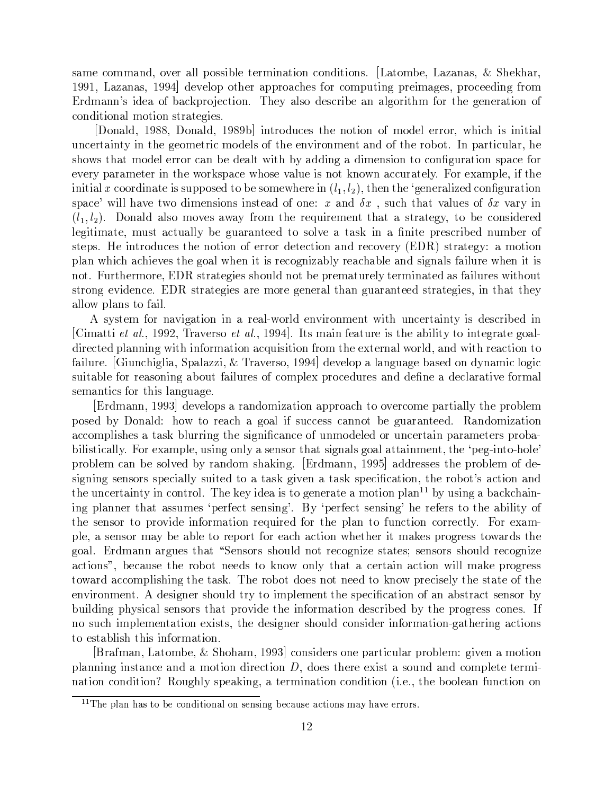same command, over all possible termination conditions. [Latombe, Lazanas,  $\&$  Shekhar, 1991, Lazanas, 1994 develop other approaches for computing preimages, proceeding from Erdmann's idea of backprojection. They also describe an algorithm for the generation of conditional motion strategies.

[Donald, 1988, Donald, 1989b] introduces the notion of model error, which is initial incertainty in the geometric models of the environment and of the robot. In particular, he shows that model error can be dealt with by adding a dimension to configuration space for ~Pi)~¡|}.`}~~n9 3~8nOt,>¶|r}e4~8s3->µ~iO}.=f3~¾E>n3O tÉ3s }4P4fQ`}.~2 Os~Q}.|39~)) Ã3~ initial x coordinate is supposed to be somewhere in  $(l_1, l_2)$ , then the 'generalized configuration >¶|}4~ 's9&r}Pi)~·«n ]~>¶9>H>µ~}O sQ~)¢}rg>«f4` r}.9i}f3~J>» iO}.-9  $(l, l_2)$  Donald also moves away from the requirement that a strategy to be considered  $l$ egitimate, must actually be guaranteed to solve a task in a finite prescribed number of >¶~|>2 ¥~I9]É\*fI4~> 3~I3O-.s~O¾]~~4;}.r-~J4i)~/d¨¡^n>µ`}~P6OKb} plan which achieves the goal when it is recognizably reachable and signals failure when it is 3OP2 f33~~)-¨¡+>¶`}~P6O~> >¶3ef3¡Q\_cr~H|3~}.`f3~9¾~r}~I}e>05}fQ~>gs3fQ strong evidence. EDR strategies are more general than guaranteed strategies, in that they allow plans to fail.

A system for navigation in a real-world environment with uncertainty is described in Cimatti *et al.*, 1992, Traverso *et al.*, 1994. Its main feature is the ability to integrate goaldirected planning with information acquisition from the external world, and with reaction to 5}.9f3~-2 HfQ4Q69}ÉIs |r}.}j§P§5-£H3g}Pi)~R>µ3rOjCª ]~Pi)~9|}}."6efr}j6O~cr}>µ~¡O]Ér}.v4796v4 >&fQ`}c3~¾±~}>µ39"6}cef3±5}.9f3~> 4|Q~·|3O4®~\*f3~>±}.-]~-r3~X}]~4®}.}.i)~±}. semantics for this language.

 $[Erdmann, 1993]$  develops a randomization approach to overcome partially the problem |r->µ~ c] ¡r}K-3 ¢~È}4`}Z6)}± ^>&fI4P4~>`>4}33Ocr~|6f}.`}]~~o2 H}.rÉ=§}.  $\frac{1}{2}$  ,  $\frac{1}{2}$  ,  $\frac{1}{2}$  ,  $\frac{1}{2}$  ,  $\frac{1}{2}$  ,  $\frac{1}{2}$  ,  $\frac{1}{2}$  ,  $\frac{1}{2}$  ,  $\frac{1}{2}$  ,  $\frac{1}{2}$  ,  $\frac{1}{2}$  ,  $\frac{1}{2}$  ,  $\frac{1}{2}$  ,  $\frac{1}{2}$  ,  $\frac{1}{2}$  ,  $\frac{1}{2}$  ,  $\frac{1}{2}$  ,  $\frac{1}{2}$  ,  $\frac{1$  $1.99.49\pm0.1$  Observed to  $1.39\pm0.1$  and  $1.49\pm0.1$  . The  $1.49\pm0.1$  in the  $1.49\pm0.1$ problem can be solved by random shaking. [Erdmann, 1995] addresses the problem of designing sensors specially suited to a task given a task specification, the robot's action and the uncertainty in control. The key idea is to generate a motion plan<sup>11</sup> by using a backchain-,6a r and the set of the set of the set of the set of the set of the set of the set of the set of the set of the set of the set of the set of the set of the set of the set of the set of the set of the set of the set of th Q~|>µ~>µ |3i] ]~É}.9~Jhbf39~-·3~ |3} fQ494~4-2 OI~3}a ple, a sensor may be able to report for each action whether it makes progress towards the 6 }.d2¨&`]}.3F}6fQ~>r}. s ~>¶OR>®>µ3f3 Q¾~4®6Q§~#>µ`}.~> F>µ~>µR>8>µ3f3 ~J46O3§~ actions", because the robot needs to know only that a certain action will make progress toward accomplishing the task. The robot does not need to know precisely the state of the ~Oi]9O3~ÉP2\${ ]~J>¶6O3~>µ3f3 ¡9|3~¡~®]"3~9>¶|r~4®X4}9.d}-}c>¶`}4®>µ~>¶O cÉ c"f39]9"6|3É">µE4}>¶~I>¶>r}.¾|3jiÉÉ~I3~·]O}9F]~>`4=cr~ cÉ-Q~I|3e6~J>>®4O3~>2AU no such implementation exists, the designer should consider information-gathering actions to establish this information.

roja. S2r2-2 o£ social social social social social social social social social social social social social social social social social social social social social social social social social social social social social soc |3}.339"69>¶ }.4~X}.rF}¡O9-É~J49 Ã])~J> 3~~~]v>¶b}>µf3-}.rZ4|3~~±~ <sup>a</sup> r}O/4Or]9O sf"6O3 >¶|r~}jtÉ,63\$}I~}.9?4®r]99ZUd2 ~-29]Q~cr)9~}.@f3I49@O

 $x$  is two zero  $x$  and  $y$  zpaces  $x$  and  $y$   $\in$  Upper  $x$  and  $y$   $\in$   $x$   $\in$   $x$   $\in$   $x$   $\in$   $x$   $\in$   $y$   $\in$   $y$   $\in$   $y$   $\in$   $y$   $\in$   $y$   $\in$   $y$   $\in$   $y$   $\in$   $y$   $\in$   $y$   $\in$   $y$   $\in$   $y$   $\in$   $y$   $\in$   $y$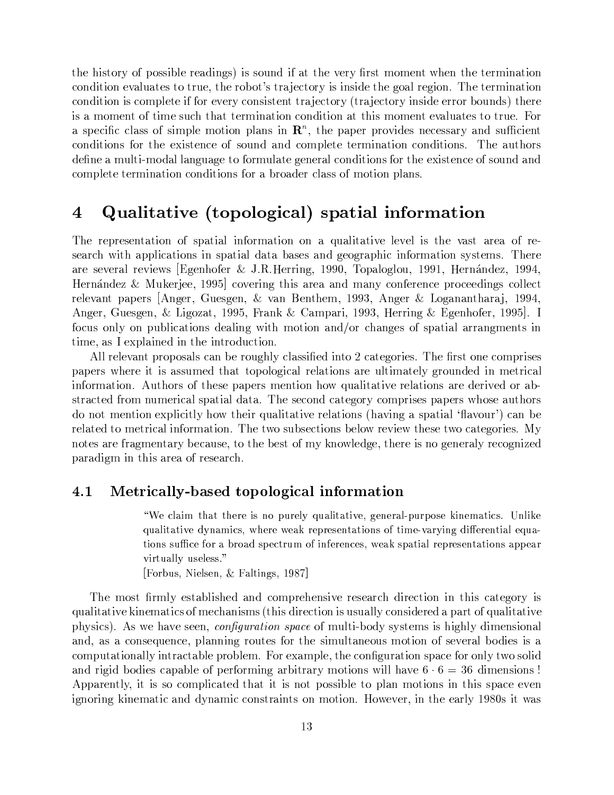$\bullet$  , and a state of the state of the state of the state of the state of the state of the state of the state of the state of the state of the state of the state of the state of the state of the state of the state of the condition evaluates to true, the robot's trajectory is inside the goal region. The termination condition is complete if for every consistent trajectory (trajectory inside error bounds) there  $\blacksquare$  $\{a_1, a_2, \ldots, a_{n-1}, a_{n-1}, \ldots, a_{n-1}, a_{n-1}, \ldots, a_{n-1}, a_{n-1}, \ldots, a_{n-1}, a_{n-1}, \ldots, a_{n-1}, a_{n-1}, \ldots, a_{n-1}, a_{n-1}, \ldots, a_{n-1}, a_{n-1}, \ldots, a_{n-1}, a_{n-1}, \ldots, a_{n-1}, a_{n-1}, \ldots, a_{n-1}, a_{n-1}, \ldots, a_{n-1}, a_{n-1}, \ldots, a_{n-1}, a_{n-1}, \ldots, a_{n-1}, a_{n-1}, \ld$ 4Or]O>XO¡3~@~]v>¶~4~®>µf3}.r 4|Q~~~}.9)4®r]99>2 3nQ~-}jfQ3OR> ]~-3~H}±f39 a=ÉQ}.)}"6f}j6~b±f3}.~\_6~3~`}X4rÉ9>\$3~H~ÉE>µ~4®~n.z>¶ef3r·}.r complete termination conditions for a broader class of motion plans.

## $\blacksquare$  . The set of the set of the set of the set of the set of the set of the set of the set of the set of the set of the set of the set of the set of the set of the set of the set of the set of the set of the set of the

The representation of spatial information on a qualitative level is the vast area of research with applications in spatial data bases and geographic information systems. There }.~Z>¶~Pi)~`}.H~ui]9~P>| D¨g6~3Q.~?£ "2 82 ¥~"6Q±O]3\$|r}e6ef\$IO]O ¥~¦}r]~P§ C3 Hernández & Mukerjee, 1995 covering this area and many conference proceedings collect  $r$  . In the set of the set of the set of the set of the set of the set of the set of the set of the set of the set of the set of the set of the set of the set of the set of the set of the set of the set of the set of the  $\mathcal{S}=\{S_{\alpha}^{(1)},\ldots,S_{\alpha}^{(k)}\}$  . The constraint  $\mathcal{S}=\{S_{\alpha}^{(1)},\ldots,S_{\alpha}^{(k)}\}$  . The constraint  $\mathcal{S}=\{S_{\alpha}^{(1)},\ldots,S_{\alpha}^{(k)}\}$  . The constraint of the constraints of the constraints of the constraints of the cons focus only on publications dealing with motion and/or changes of spatial arrangments in time, as I explained in the introduction.

All relevant proposals can be roughly classified into 2 categories. The first one comprises |r}|~R>s3~~kE>k}>>«f3~-}.IO|re6v4}.s~}O>}~fQ9}.~6f3rÉ~¢¢~v4}. information. Authors of these papers mention how qualitative relations are derived or ab->¶`}e4~¡ Of3~E4}X>¶|r}}Ã3}. }\*2 3n3~9>¶~4®r4}.~P6O?4O|3E>¶~J>7|r}|~R>s3->µ~I}jfQ3OR> ]Q±~]~]|QE4®9¡Qj 3~nh-fr}.9`}=i)~±~}.I>Ur}PiÉ"6}>µ|r}.}.%@p}Pi)fQ ' 4}./cr~ related to metrical information. The two subsections below review these two categories. My notes are fragmentary because, to the best of my knowledge, there is no generaly recognized paradigm in this area of research.

## $4.1 \quad \hbox{Metrically-based topological information}$

"We claim that there is no purely qualitative, general-purpose kinematics. Unlike qualitative dynamics, where weak representations of time-varying differential equa tions suffice for a broad spectrum of inferences, weak spatial representations appear virtually useless."

[Forbus, Nielsen, & Faltings, 1987]

3n3~->¶ r9¢~>µ`}jcQE>µ3~ }.r+4O|3~3~>µi)~~>¶~È}.R4`É~J4993v>4}.~u6v> qualitative kinematics of mechanisms (this direction is usually considered a part of qualitative  $\blacksquare$ and, as a consequence, planning routes for the simultaneous motion of several bodies is a 4O|"f3 }.9r}9±É}4 }jc39~7|QcQ~/2 Ã~Q}.|Q~)3~4O6ef3`}O#>¶|r}e4~n"39«d>µ and rigid bodies capable of performing arbitrary motions will have  $6 \cdot 6 = 36$  dimensions! Apparently, it is so complicated that it is not possible to plan motions in this space even 6O3"6t]93~}E4H}.-]]}.v44I>¶}.9]> %2 ¥n~Pi)~33~~}9 FO>±s}e>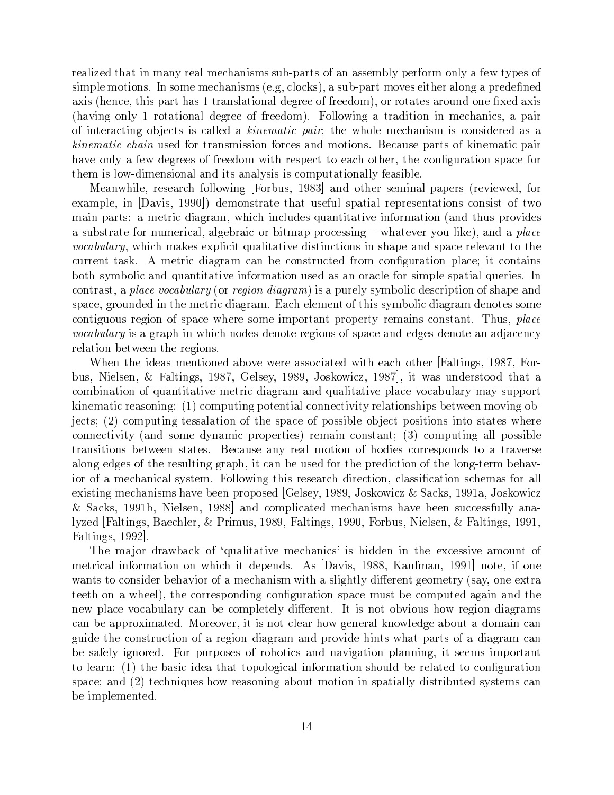realized that in many real mechanisms sub-parts of an assembly perform only a few types of >¶9|39~&O>2A=9>¶~7~4}.3v>¶?>U~2¢63e49O4¬t,>¬ }>&f"cOa=|r}&ji)~J>~93~Ã}O"6±}H|3~É~-r3~ axis (hence, this part has 1 translational degree of freedom), or rotates around one fixed axis U}JiÉ,6-39 O`}Or}.b]~P6O~~±~~È]|2 9s,6F} `}É9 ~4`r}.QE4P>®&}-|r}.9  $\bullet$  . The contract of the contract of the contract of the contract of the contract of the contract of the contract of the contract of the contract of the contract of the contract of the contract of the contract of the co  $\blacksquare$  YQh 6-2.  $\blacksquare$  Orange of the contract of the contract of the contract of the contract of the contract of the contract of the contract of the contract of the contract of the contract of the contract of the contract r}Pi)~IQ-}¡~P]~u6~~> .d~~È]@s-~>¶|r~4®±~}e4-O3~KQ~4O6ef3`}ON>µ|r}4®~LO them is low-dimensional and its analysis is computationally feasible.

Meanwhile, research following [Forbus, 1983] and other seminal papers (reviewed, for example, in [Davis, 1990]) demonstrate that useful spatial representations consist of two  $\qquad \qquad$  , the state of the state of the state of the state of the state of the state of the state of the state of the state of the state of the state of the state of the state of the state of the state of the state of th  $\bullet$  . The contract of the contract of the contract of the contract of the contract of the contract of the contract of the contract of the contract of the contract of the contract of the contract of the contract of the co *vocabulary*, which makes explicit qualitative distinctions in shape and space relevant to the current task. A metric diagram can be constructed from configuration place; it contains crZ>¶Écr9E4H}.r/h-fr}]`}=i)~±]O}9?f>¶~È@}>H}. }49~n>¶9|39~>µ|r}.}. h-f3~9~>2 A=  $\blacksquare$ space, grounded in the metric diagram. Each element of this symbolic diagram denotes some  $\mathcal{A}=\mathcal{A}$  . The contract of the contract of the contract of the contract of the contract of the contract of the contract of the contract of the contract of the contract of the contract of the contract of the contract  $vocabulary$  is a graph in which nodes denote regions of space and edges denote an adjacency relation between the regions.

"3~F3~·É~}>±~É93~È@}jcri)~®n~~}>>µO4}~Zs-~È}4` O3~ }.9,6-> deFbB) &a c"f>® 9~E>µ~\$ £ }"6> ±FbB H~E>µ~)HeF] ->&t)sv4§)HF-Bª n9}>®f3r]~R>¶)É r}. } combination of quantitative metric diagram and qualitative place vocabulary may support kinematic reasoning:  $(1)$  computing potential connectivity relationships between moving ob-~4> F =¤bn4O|"f3"6~>`>}.}.F.H3~>¶|r}e4~¡s|r->`>¶=c3~ec~4±|r>¶O>9]|>µ`}~>s3~~ connectivity (and some dynamic properties) remain constant; (3) computing all possible  $\mathcal{L}=\mathcal{L}=\mathcal{L}=\mathcal{L}=\mathcal{L}=\mathcal{L}=\mathcal{L}=\mathcal{L}=\mathcal{L}=\mathcal{L}=\mathcal{L}=\mathcal{L}=\mathcal{L}=\mathcal{L}=\mathcal{L}=\mathcal{L}=\mathcal{L}=\mathcal{L}=\mathcal{L}=\mathcal{L}=\mathcal{L}=\mathcal{L}=\mathcal{L}=\mathcal{L}=\mathcal{L}=\mathcal{L}=\mathcal{L}=\mathcal{L}=\mathcal{L}=\mathcal{L}=\mathcal{L}=\mathcal{L}=\mathcal{L}=\mathcal{L}=\mathcal{L}=\mathcal{L}=\mathcal{$ }.9"6I~È\*6~>n&3~±~>&f399"66O`}.|Q\$3 4}.?cr~8f>¶~IsQ~|Q~]v49·."3~b,6ja5~-cr~r}Piba O±.}~4`r}.3v4}.%>¶,>¶~/2 9s"63v>»~>¶~È}.R4`-É~J49\$4®}>`>¶X4}.OZ>4`3~}e> O} existing mechanisms have been proposed [Gelsey, 1989, Joskowicz & Sacks, 1991a, Joskowicz  $P$  sé $P$ ef sére $P$  séreget a  $P$  . The  $P$  is  $P$  and  $P$ lyzed | Faltings, Baechler, & Primus, 1989, Faltings, 1990, Forbus, Nielsen, & Faltings, 1991, Faltings,  $1992$ .

3n3~F}) and the discussional of (coolinging coolingies) to hidden in the correspondence corrected of metrical information on which it depends. As  $\Delta$  Davis, 1988, Kaufman, 1991 note, if one wants to consider behavior of a mechanism with a slightly different geometry (say, one extra teeth on a wheel), the corresponding configuration space must be computed again and the new place vocabulary can be completely different. It is not obvious how region diagrams can be approximated. Moreover, it is not clear how general knowledge about a domain can 6fQ]~I3~#4I>¶`f4-H}¡~P69 ]}6}. }r-|3iÉ]~I39]> s}.¾|r}.R>±.}] }j6}. 4} cr~/>}È~9¢6O3~o2 O¡|,f3|r->µ~>I.¾crE4P>·}.rr}Pi]=6)}O|3}.3Q"6Qn#>µ~~?>¾|r`}] to learn:  $(1)$  the basic idea that topological information should be related to configuration space; and  $(2)$  techniques how reasoning about motion in spatially distributed systems can be implemented.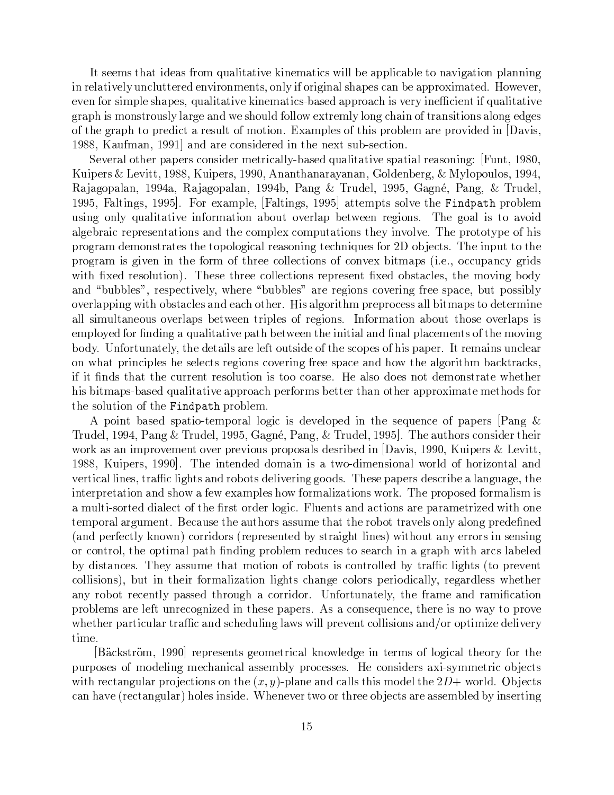It seems that ideas from qualitative kinematics will be applicable to navigation planning in relatively uncluttered environments, only if original shapes can be approximated. However, even for simple shapes, qualitative kinematics-based approach is very inefficient if qualitative graph is monstrously large and we should follow extremly long chain of transitions along edges of the graph to predict a result of motion. Examples of this problem are provided in Davis, 1988, Kaufman, 1991 and are considered in the next sub-section.

Several other papers consider metrically-based qualitative spatial reasoning: [Funt, 1980, Kuipers & Levitt, 1988, Kuipers, 1990, Ananthanarayanan, Goldenberg, & Mylopoulos, 1994, Rajagopalan, 1994a, Rajagopalan, 1994b, Pang & Trudel, 1995, Gagné, Pang, & Trudel, 1995, Faltings, 1995. For example, [Faltings, 1995] attempts solve the Findpath problem using only qualitative information about overlap between regions. The goal is to avoid algebraic representations and the complex computations they involve. The prototype of his program demonstrates the topological reasoning techniques for 2D objects. The input to the program is given in the form of three collections of convex bitmaps (i.e., occupancy grids with fixed resolution). These three collections represent fixed obstacles, the moving body and "bubbles", respectively, where "bubbles" are regions covering free space, but possibly overlapping with obstacles and each other. His algorithm preprocess all bitmaps to determine all simultaneous overlaps between triples of regions. Information about those overlaps is employed for finding a qualitative path between the initial and final placements of the moving body. Unfortunately, the details are left outside of the scopes of his paper. It remains unclear on what principles he selects regions covering free space and how the algorithm backtracks, if it finds that the current resolution is too coarse. He also does not demonstrate whether his bitmaps-based qualitative approach performs better than other approximate methods for the solution of the Findpath problem.

A point based spatio-temporal logic is developed in the sequence of papers |Pang & Trudel, 1994, Pang & Trudel, 1995, Gagné, Pang, & Trudel, 1995. The authors consider their work as an improvement over previous proposals desribed in  $Davis, 1990, Kuipers & Levitt,$ 1988, Kuipers, 1990. The intended domain is a two-dimensional world of horizontal and vertical lines, traffic lights and robots delivering goods. These papers describe a language, the interpretation and show a few examples how formalizations work. The proposed formalism is a multi-sorted dialect of the first order logic. Fluents and actions are parametrized with one temporal argument. Because the authors assume that the robot travels only along predefined (and perfectly known) corridors (represented by straight lines) without any errors in sensing or control, the optimal path finding problem reduces to search in a graph with arcs labeled by distances. They assume that motion of robots is controlled by traffic lights (to prevent collisions), but in their formalization lights change colors periodically, regardless whether any robot recently passed through a corridor. Unfortunately, the frame and ramification problems are left unrecognized in these papers. As a consequence, there is no way to prove whether particular traffic and scheduling laws will prevent collisions and/or optimize delivery time.

Bäckström, 1990 represents geometrical knowledge in terms of logical theory for the purposes of modeling mechanical assembly processes. He considers axi-symmetric objects with rectangular projections on the  $(x, y)$ -plane and calls this model the  $2D+$  world. Objects can have (rectangular) holes inside. Whenever two or three objects are assembled by inserting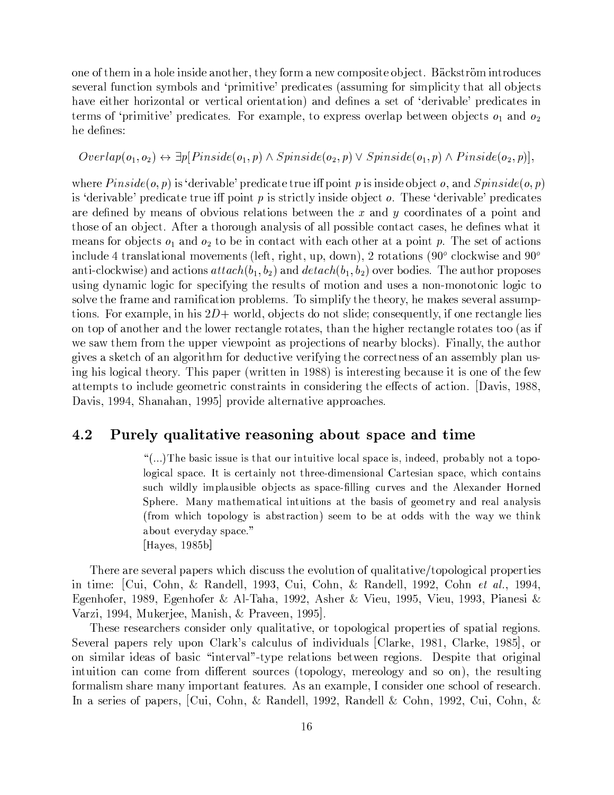one of them in a hole inside another, they form a new composite object. Bäckström introduces several function symbols and 'primitive' predicates (assuming for simplicity that all objects have either horizontal or vertical orientation) and defines a set of 'derivable' predicates in terms of 'primitive' predicates. For example, to express overlap between objects  $o_1$  and  $o_2$ he defines:

 $Overlap(o_1, o_2) \leftrightarrow \exists p [P inside(o_1, p) \wedge Sp inside(o_2, p) \vee Sp inside(o_1, p) \wedge P inside(o_2, p)],$ 

where  $Pinside(o, p)$  is 'derivable' predicate true iff point p is inside object o, and  $Spinside(o, p)$ is 'derivable' predicate true iff point p is strictly inside object  $o$ . These 'derivable' predicates are defined by means of obvious relations between the x and y coordinates of a point and those of an object. After a thorough analysis of all possible contact cases, he defines what it means for objects  $o_1$  and  $o_2$  to be in contact with each other at a point p. The set of actions include 4 translational movements (left, right, up, down), 2 rotations (90<sup>o</sup> clockwise and 90<sup>o</sup> anti-clockwise) and actions  $attach(b_1, b_2)$  and  $detach(b_1, b_2)$  over bodies. The author proposes using dynamic logic for specifying the results of motion and uses a non-monotonic logic to solve the frame and ramification problems. To simplify the theory, he makes several assumptions. For example, in his  $2D+$  world, objects do not slide; consequently, if one rectangle lies on top of another and the lower rectangle rotates, than the higher rectangle rotates too (as if we saw them from the upper viewpoint as projections of nearby blocks). Finally, the author gives a sketch of an algorithm for deductive verifying the correctness of an assembly plan using his logical theory. This paper (written in 1988) is interesting because it is one of the few attempts to include geometric constraints in considering the effects of action. [Davis, 1988, Davis, 1994, Shanahan, 1995 provide alternative approaches.

#### 4.2 Purely qualitative reasoning about space and time

"(...) The basic issue is that our intuitive local space is, indeed, probably not a topological space. It is certainly not three-dimensional Cartesian space, which contains such wildly implausible objects as space-filling curves and the Alexander Horned Sphere. Many mathematical intuitions at the basis of geometry and real analysis (from which topology is abstraction) seem to be at odds with the way we think about everyday space." [Hayes, 1985b]

There are several papers which discuss the evolution of qualitative/topological properties in time: [Cui, Cohn, & Randell, 1993, Cui, Cohn, & Randell, 1992, Cohn et al., 1994, Egenhofer, 1989, Egenhofer & Al-Taha, 1992, Asher & Vieu, 1995, Vieu, 1993, Pianesi & Varzi, 1994, Mukerjee, Manish, & Praveen, 1995.

These researchers consider only qualitative, or topological properties of spatial regions. Several papers rely upon Clark's calculus of individuals [Clarke, 1981, Clarke, 1985], or on similar ideas of basic "interval"-type relations between regions. Despite that original intuition can come from different sources (topology, mereology and so on), the resulting formalism share many important features. As an example, I consider one school of research. In a series of papers, [Cui, Cohn, & Randell, 1992, Randell & Cohn, 1992, Cui, Cohn, &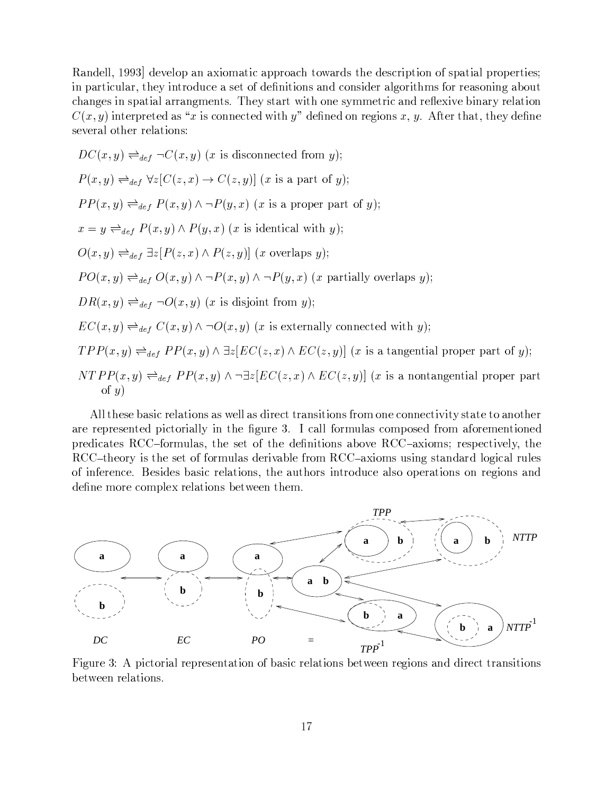Randell, 1993] develop an axiomatic approach towards the description of spatial properties; in particular, they introduce a set of definitions and consider algorithms for reasoning about changes in spatial arrangments. They start with one symmetric and reflexive binary relation  $C(x, y)$  interpreted as "x is connected with y" defined on regions x, y. After that, they define several other relations:

$$
DC(x, y) \rightleftharpoons_{def} \neg C(x, y) \ (x \text{ is disconnected from } y);
$$
\n
$$
P(x, y) \rightleftharpoons_{def} \forall z [C(z, x) \rightarrow C(z, y)] \ (x \text{ is a part of } y);
$$
\n
$$
PP(x, y) \rightleftharpoons_{def} P(x, y) \land \neg P(y, x) \ (x \text{ is a proper part of } y);
$$
\n
$$
x = y \rightleftharpoons_{def} P(x, y) \land P(y, x) \ (x \text{ is identical with } y);
$$
\n
$$
O(x, y) \rightleftharpoons_{def} \exists z [P(z, x) \land P(z, y)] \ (x \text{ overlaps } y);
$$
\n
$$
PO(x, y) \rightleftharpoons_{def} O(x, y) \land \neg P(x, y) \land \neg P(y, x) \ (x \text{ partially overlaps } y);
$$
\n
$$
DR(x, y) \rightleftharpoons_{def} O(x, y) \ (x \text{ is disjoint from } y);
$$
\n
$$
EC(x, y) \rightleftharpoons_{def} C(x, y) \land \neg O(x, y) \ (x \text{ is externally connected with } y);
$$
\n
$$
TPP(x, y) \rightleftharpoons_{def} PP(x, y) \land \exists z [EC(z, x) \land EC(z, y)] \ (x \text{ is a tangential proper part of } NTPP(x, y) \rightleftharpoons_{def} PP(x, y) \land \neg \exists z [EC(z, x) \land EC(z, y)] \ (x \text{ is a nontangential proper of } y)
$$

All these basic relations as well as direct transitions from one connectivity state to another are represented pictorially in the figure 3. I call formulas composed from aforementioned predicates RCC-formulas, the set of the definitions above RCC-axioms; respectively, the RCC-theory is the set of formulas derivable from RCC-axioms using standard logical rules of inference. Besides basic relations, the authors introduce also operations on regions and define more complex relations between them.

 $y);$ 

part



Figure 3: A pictorial representation of basic relations between regions and direct transitions between relations.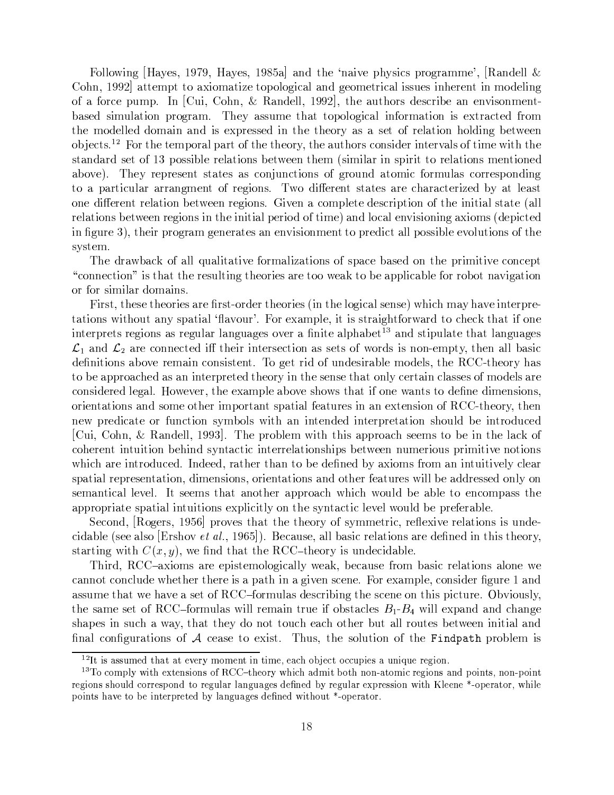Following [Hayes, 1979, Hayes, 1985a] and the 'naive physics programme', [Randell  $\&$ Cohn, 1992 attempt to axiomatize topological and geometrical issues inherent in modeling of a force pump. In [Cui, Cohn, & Randell, 1992], the authors describe an envisonmentcr}e>¶~>¶9f3}. |3e6}./2}3n3~ }e>>&fQ~-r}O|re6v4}.k]O}Ov>¡~É`}e4~È the modelled domain and is expressed in the theory as a set of relation holding between c~J4R>2(9 "3~d~|rO`}.É|r}&K3~n3~O)3~s}f3QR>4O>¶ ]~&9]~iO}E>K.p~s3~ standard set of 13 possible relations between them (similar in spirit to relations mentioned above). They represent states as conjunctions of ground atomic formulas corresponding }-|r}.E4f3}·}.}."6O~ÉI.¾~P69>2 3\_d¢Ép~~]#>µ`}.~>·}.~4`r}.}4~=§~cÉ}¡9~}>µ one different relation between regions. Given a complete description of the initial state (all relations between regions in the initial period of time) and local envisioning axioms (depicted in figure 3), their program generates an envisionment to predict all possible evolutions of the system.

3n3~]`}Pcr}e4¬t-H}.9 hbfr}9`}.i)~¾}.=§}.O>n>¶|r}e4~#cr}>µ~ O 3~·|39i)~84O4~|Q "connection" is that the resulting theories are too weak to be applicable for robot navigation or for similar domains.

First, these theories are first-order theories (in the logical sense) which may have interpretations without any spatial 'flavour'. For example, it is straightforward to check that if one interprets regions as regular languages over a finite alphabet<sup>13</sup> and stipulate that languages  $\ell_1$  and  $\ell_2$  are connected iff their intersection as sets of words is non-empty then all basic ]~-3I> }ci)~I~}.94>µE>µ~ÉP23\$6~b. f3rÉ~>¶9`}jcQ~É]~E>®33~ <<ga5Q~ }> to be approached as an interpreted theory in the sense that only certain classes of models are 4O>¶ ]~~È¡~P6 }.d2 ¥n~ui)~)Q~±~Q}.|39~H}jcri)~8>¶Qj>nr}.s¸Ã3~8}.ÉR>7·]~-rQ~¾]~>¶9>® orientations and some other important spatial features in an extension of RCC-theory, then new predicate or function symbols with an intended interpretation should be introduced <fQ=<O3\$£H}.r]~="Ojª«2®3nQ~I|3ec3~@s 3E>±}|3|3)}4`>¶~~>cr~·-3~I}e4¬t . 4O3~~]±9]`f3O|cr~39r/>¶É] }4E4¾É~~}.9>µ3|I> cr~«n~~-\*fQ~9f>s|39iO~±3OO>  $s$  and  $s$  is a straight and  $r$  is a straight and  $s$ . If is a straight and  $s$ spatial representation, dimensions, orientations and other features will be addressed only on semantical level. It seems that another approach which would be able to encompass the appropriate spatial intuitions explicitly on the syntactic level would be preferable.

 $s$  , and the correlation of  $s$  is a real definition of the correlation of the correlation of  $\alpha$ 4 3}jc39~8 >µ~~±}E>µ ¨&>¶3i
 ¸KO; <sup>ª</sup> R2 n~4}f>¶~ )}.9'c}>¶v4~}9>}.~¾]~-3~I·3v>03~O) starting with  $C(x, y)$  we find that the RCC-theory is undecidable

Third, RCC-axioms are epistemologically weak, because from basic relations alone we  $\frac{3}{4}$  3  $\frac{3}{4}$  3.  $\frac{3}{4}$  3.  $\frac{4}{3}$  3.  $\frac{4}{3}$   $\frac{3}{4}$ .  $\frac{4}{3}$ }>`>&f3~ r}. n~±r}Pi)~H}®>µ~. <<O#f3}e>]~>4®cQ"6¾Q~8>4~3~ OQE>7|QE4`f3~-2 )c\*iÉef>¶9) the same set of  $\text{RCC-formulas}$  will remain true if obstacles  $B_{1}$ - $B_{\star}$  will expand and change shapes in such a way, that they do not touch each other but all routes between initial and rr}84O6fQ`}.O>. : 4~}>µ~-¢~]v>¶P23n\*fI> s3~Z>µ=f39.k3~j\c^%\_`a4b,d&eF|3ec3~ v>

k a lwr; a lwrain cyfodwyr y mae cyfodwyr y gwpwyr y cyfodwyrtol a llwyr y gweledu a llwyr y cyfodwyr y cyfodw<br>A llwyr y cyfodwyr y cyfodwyr y cyfodwyr y cyfodwyr y cyfodwyr y cyfodwyr y cyfodwyr y cyfodwyr y cyfodwyr y c

k}?}\*T~qts rw|xozvw|o%{|r}\*~{}Q Hwyx%oz}\*ysTx%rmxpQn%rw4U} w|x%} pw|} TrEyoz\*r} %{Mp%nT,}\*rvw|{u%%} ,}\*rvw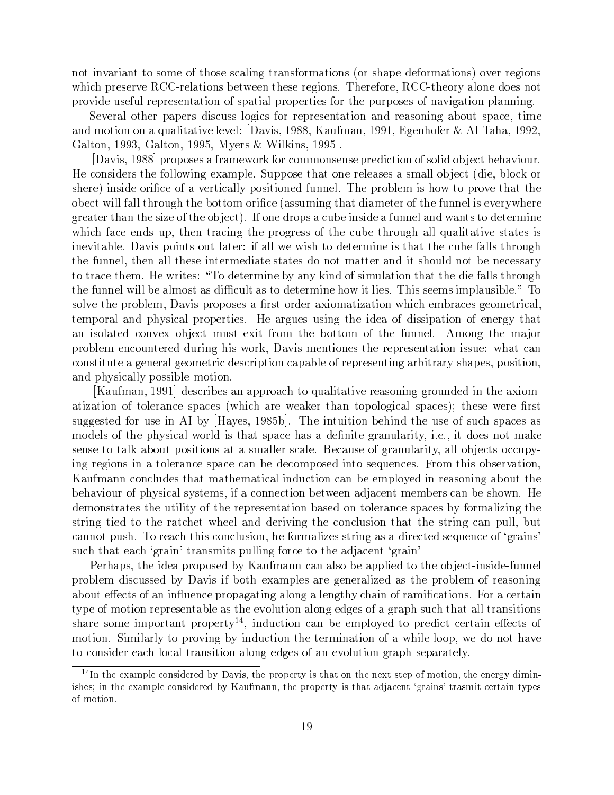not invariant to some of those scaling transformations (or shape deformations) over regions which preserve RCC-relations between these regions. Therefore, RCC-theory alone does not provide useful representation of spatial properties for the purposes of navigation planning.

Several other papers discuss logics for representation and reasoning about space, time }.LO9I}8hbf}.9`}i)~9~Pi)~= ¡±}PiÉE> QFeF] }f]}\$3O]O\*¨g6O~33~ £^{a\3Ã}.r}ÉO¤] berg. 9u barat barat di barat di sebagai di barat di barat di barat di barat di barat di barat di barat di bar

[Davis, 1988] proposes a framework for commonsense prediction of solid object behaviour. He considers the following example. Suppose that one releases a small object (die, block or >¶Q~~9>¶ ]~¾X4~k.d}®i)~E4}.9I|r->¶993~f333~ <sup>2</sup>3n3~|3c39~ v>3^¡|Qi)~¾r} 3~ obect will fall through the bottom orifice (assuming that diameter of the funnel is everywhere 6~}.~\$}.3~ >¶=§~&.QQ~7ec~4R2AU3O3~d]O|>i}4f"cr~I>¶É~} fQ33~ }.r8s}.ÉR>K±É~~Q~ s3v4@5}e4~¡~r">:fQ|\$\$3~F}49"6@3~·|3e6~J>>s3~4f"cr~¡3ef"6} h-fr}.9`}=i)~#>¶`}~>±v> inevitable. Davis points out later: if all we wish to determine is that the cube falls through Q~f33Q~=33~-}Ã3~J>¶~9]~~]}~n>¶ }.~J> ]3±}.~s}r@n>¶Qf3 3Ocr~3~4®~>>}.  $\frac{1}{2}$  3.0E 3.2  $\frac{1}{2}$  3.3  $\frac{1}{2}$  (1.3  $\frac{1}{2}$  3.3  $\frac{1}{2}$  5.3  $\frac{1}{2}$  5.3  $\frac{1}{2}$  5.3  $\frac{1}{2}$  5.3  $\frac{1}{2}$  5.3  $\frac{1}{2}$  5.3  $\frac{1}{2}$  5.3  $\frac{1}{2}$  5.3  $\frac{1}{2}$  5.3  $\frac{1}{2}$  5.3  $\frac{1}{2}$  5.3  $\frac{1$ the funnel will be almost as difficult as to determine how it lies. This seems implausible." To >¶Oi)~¾Q~|QcQ~-O¡±}PiÉE>n|3|r->µ~>±} rR>µ&a5]~b}.É}.=§}.Os3E4`~#c3}4~>6~O~E4}.= ~|r`}s}r |3É,>¶E4}.|3O|r~~>2 ¥~}.`6f3~J> f>µ"6-3~]~È} .]E>`>¶|}.9.b~3~6 r}  $\mathbf{P}$  . Expediant to the contract of the contract of the contract of the contract of the contract of the contract of the contract of the contract of the contract of the contract of the contract of the contract of the c problem encountered during his work, Davis mentiones the representation issue: what can constitute a general geometric description capable of representing arbitrary shapes, position, and physically possible motion.

[Kaufman, 1991] describes an approach to qualitative reasoning grounded in the axiomatization of tolerance spaces (which are weaker than topological spaces); these were first >&f,66~J>¶~È 8f>µ~¡9F{A cÉ) ¥})~> "Fe;jc"ª«2#3n3~·ÉfQ9c~3r-Q~f>µ~¡>«f4Z>µ|r}4®~>¾}>  $\blacksquare$ rada $\blacksquare$ rada $\blacksquare$ rada $\blacksquare$ rada $\blacksquare$ >¶~>¶~k }.t }cef3±|r->µI>±}.¾}>¶}~>4}.~2 n~J4}jf>µ~¾. 6}.Of3}µ)r}Ãc~4®R>sO4P4f3|Éba ,6^P6OO $\overline{a}$ . 48 $\overline{b}$ ./cr $\overline{a}$ ./cr $\overline{a}$ ./cr $\overline{a}$ ./cr $\overline{a}$ ./cr $\overline{a}$ ./cross-2 3E-1O3. Kaufmann concludes that mathematical induction can be employed in reasoning about the cr~r}PiÉfQn."|3É">µE4}X>¶,>¶~?> ¸"}®4Q3~4#cr~«n~~}`}e4~Én~®c~R>g4}cr~8>¶Qjs%2 ¥<sup>~</sup>  $1$  . The same set of  $1$  ,  $1$  ,  $1$  ,  $1$  ,  $1$  ,  $1$  ,  $1$  ,  $1$  ,  $1$  ,  $1$  ,  $1$  ,  $1$  ,  $1$  ,  $1$  ,  $1$  ,  $1$  ,  $1$  ,  $1$  ,  $1$  ,  $1$  ,  $1$  ,  $1$  ,  $1$  ,  $1$  ,  $1$  ,  $1$  ,  $1$  ,  $1$  ,  $1$  ,  $1$  ,  $1$  ,  $1$  ,  $1$  , >¶9"6-9~ -3~`}.4Q~s3~~s}r]~=i]9"63~ 44®f>µ r}I3~?>µ"6Z4}|"f35c"fQ cannot push. To reach this conclusion, he formalizes string as a directed sequence of 'grains' such that each 'grain' transmits pulling force to the adjacent 'grain'

Perhaps, the idea proposed by Kaufmann can also be applied to the object-inside-funnel problem discussed by Davis if both examples are generalized as the problem of reasoning }jcref3~p~4R>\$.u}¡9f3~I4~|3O|r}j6 }.9"6I}O"6¾}±~,6É84`r}.9I.p`}'4}.I>2 }4®~ }. type of motion representable as the evolution along edges of a graph such that all transitions >¶}.~>µ~9|r`}.É|Q|r~µ <sup>9</sup> & \*f4 4}. c~~|3)~@-|3~ÉE454~ }.9¢~p~4>. motion. Similarly to proving by induction the termination of a while-loop, we do not have  $\mathcal{A}=\mathcal{A}$ .  $\mathcal{A}=\mathcal{A}$ .  $\mathcal{A}=\mathcal{A}$ .  $\mathcal{A}=\mathcal{A}$ .  $\mathcal{A}=\mathcal{A}$ .  $\mathcal{A}=\mathcal{A}$ .  $\mathcal{A}=\mathcal{A}$ .  $\mathcal{A}=\mathcal{A}$ .  $\mathcal{A}=\mathcal{A}$ .  $\mathcal{A}=\mathcal{A}$ .  $\mathcal{A}=\mathcal{A}$ .  $\mathcal{A}=\mathcal{A}$ .  $\mathcal{A}=\mathcal{A}$ .  $\mathcal{A}=\mathcal{A}$ 

 $x$  , which over the window  $x$  window  $x$  and  $x$  and  $x$  and  $x$  and  $x$  and  $x$ of motion.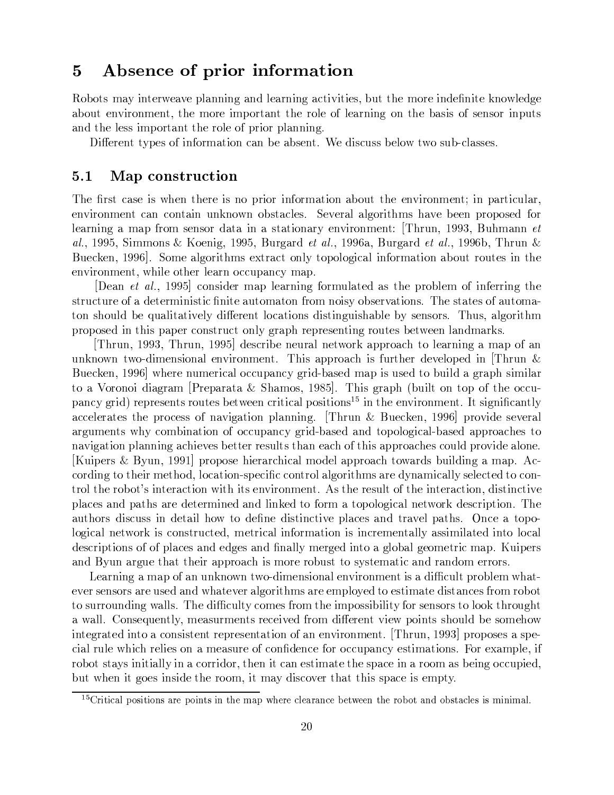### Absence of prior information  $\bf{5}$

Robots may interweave planning and learning activities, but the more indefinite knowledge about environment, the more important the role of learning on the basis of sensor inputs and the less important the role of prior planning.

Different types of information can be absent. We discuss below two sub-classes.

#### $5.1$ Map construction

The first case is when there is no prior information about the environment; in particular, environment can contain unknown obstacles. Several algorithms have been proposed for learning a map from sensor data in a stationary environment: Thrun, 1993, Buhmann et al., 1995, Simmons & Koenig, 1995, Burgard et al., 1996a, Burgard et al., 1996b, Thrun & Buecken, 1996. Some algorithms extract only topological information about routes in the environment, while other learn occupancy map.

[Dean et al., 1995] consider map learning formulated as the problem of inferring the structure of a deterministic finite automaton from noisy observations. The states of automaton should be qualitatively different locations distinguishable by sensors. Thus, algorithm proposed in this paper construct only graph representing routes between landmarks.

Thrun, 1993, Thrun, 1995 describe neural network approach to learning a map of an unknown two-dimensional environment. This approach is further developed in Thrun  $\&$ Buecken, 1996 where numerical occupancy grid-based map is used to build a graph similar to a Voronoi diagram [Preparata & Shamos, 1985]. This graph (built on top of the occupancy grid) represents routes between critical positions<sup>15</sup> in the environment. It significantly accelerates the process of navigation planning. [Thrun & Buecken, 1996] provide several arguments why combination of occupancy grid-based and topological-based approaches to navigation planning achieves better results than each of this approaches could provide alone. [Kuipers & Byun, 1991] propose hierarchical model approach towards building a map. According to their method, location-specific control algorithms are dynamically selected to control the robot's interaction with its environment. As the result of the interaction, distinctive places and paths are determined and linked to form a topological network description. The authors discuss in detail how to define distinctive places and travel paths. Once a topological network is constructed, metrical information is incrementally assimilated into local descriptions of of places and edges and finally merged into a global geometric map. Kuipers and Byun argue that their approach is more robust to systematic and random errors.

Learning a map of an unknown two-dimensional environment is a difficult problem whatever sensors are used and whatever algorithms are employed to estimate distances from robot to surrounding walls. The difficulty comes from the impossibility for sensors to look throught a wall. Consequently, measurments received from different view points should be somehow integrated into a consistent representation of an environment. [Thrun, 1993] proposes a special rule which relies on a measure of confidence for occupancy estimations. For example, if robot stays initially in a corridor, then it can estimate the space in a room as being occupied, but when it goes inside the room, it may discover that this space is empty.

 $15$ Critical positions are points in the map where clearance between the robot and obstacles is minimal.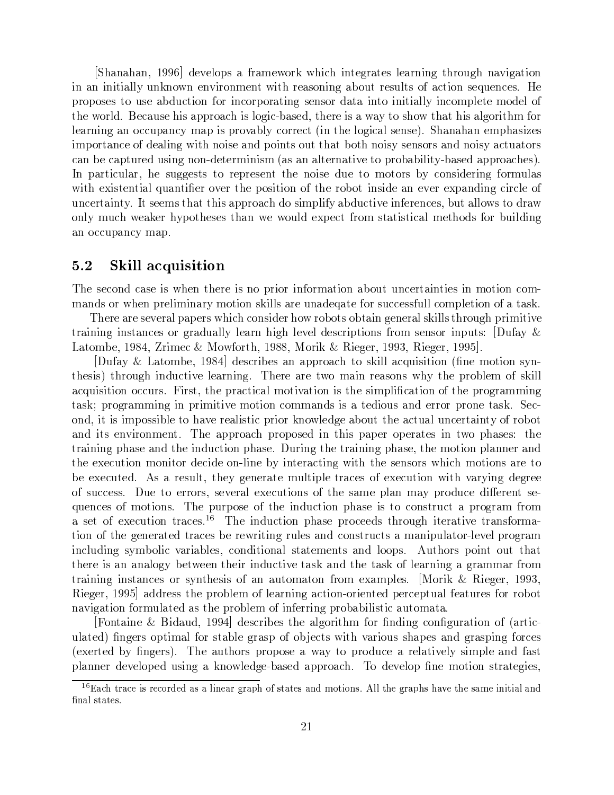s)r}r}.r}\$±ª±É~Pi)~O|>}@`}~Pdt/sQE4` 9]~P6}.~>9~}.3"6-3ef"6 r}Pi]=6)}O F} 93}?f3,t]3sF~Oi]9Q~És-~}>µ39"6-}crf3¾~J>&f39R>±.}4Z>µ~h-f3~4~J>2 ¥<sup>~</sup> proposes to use abduction for incorporating sensor data into initially incomplete model of the world. Because his approach is logic-based, there is a way to show that his algorithm for ~È}.Q"6·}@O4P4fQ|r}.4® }.|v>n|3iO}jc394~4nU9 3~¾e6E4}.>¶~>¶~2 s r}.r}r}.-~|3r}e>¶§~> importance of dealing with noise and points out that both noisy sensors and noisy actuators 4}cr~84}.|Qf3~f>µ"6k3\*a ]~~3v>¶-5}>s}}.9~r}.i)~H|Qc}jc39µ-ac}>¶~È}.|3|Q)}e4Q~>¬2 A=|r}.v4f3}H3~N>«f"66O~>¶> ~|3~>¶~É3~-3v>¶~ \*f3~FO>cÉ4>µ]~,6 f3}> s-~ÉE>¶~É}gh-fr}]r~Hi)~±3~I|r->¶99F.s3~Iecr9>¶ ]~I} ~ui)~±~É|r}.]"6 44~k. independent integrals of the superconductive inferences, but allows to draw  $\blacksquare$ an occupancy map.

### 5.2 - Skill acquisition

3n3~>¶~4®rZ4}>µ~IE>s3~FQ~~Iv> 3|39¾É}.9F}cef3fQ4~`}.9]~>s-9Z4Oa mands or when preliminary motion skills are unadequate for successfull completion of a task.

3n3~~n}~ >¶~ui)~`}|r}|~R>s3E4`94>µ]~\$3 cr>ic3 }.9:6O~3~}.O>«t]9E>r3f"6OI|39iO~ }.93"6 >µ`}4~>±96}\*fr}9 9~}.¢36O¢~ui)~&É~>4|3O>» >¶~>¶OI3|"fQR> ¡f]5}N£ £p}.#cr~)KFjCQr9~4£w@n\$\$FeF]p@=t?£ s~u6~KOÉ s~P6O~pO;jª«2

[Dufay & Latombe, 1984] describes an approach to skill acquisition (fine motion syn-Q~>¶v>¬¾Qf,6rOf4=i)~¡9~}.3,6"2N3nQ~~}~«n-}F~}e>¶O> sɢ3~|3c39~ 8>«t]9 }4uhbf3v>¶9O@O4P4f3R>2 9R>¶33~k|3`}e4v4}.ÃOiO}OE>s3~#>µ|39X4}.9Q~|36}."6  $\bullet$  . The set of the set of the set of the set of the set of the set of the set of the set of the set of the set of the set of the set of the set of the set of the set of the set of the set of the set of the set of the s ond, it is impossible to have realistic prior knowledge about the actual uncertainty of robot }.R>I~Oi]9O3~ÉP2)3n3~F}|3|3)}4`|3|r->µ~ 3v>L|r}|r~|r~}.~>¡ «nF|3r}>µ~> -3~ training phase and the induction phase. During the training phase, the motion planner and Q~I~]~J4f39-O3¾É~4É~Oa=93~#c] É~}4"6#s 3~#>¶~>¶OR>:sQE4`-I>±}.~¡ be executed. As a result, they generate multiple traces of execution with varying degree .:>&f4P4®~>>2 ¡ fQ~@F~> >¶~Pi)~`}.s~]~4f39>±3~/>}.~|Q}. } |QÉ\*f4®~-]K~~É#>¶~a quences of motions. The purpose of the induction phase is to construct a program from }N>µ~.k~É~4fQO`}4®~>2 9- 3nQ~-r\*fI49|Qr}>µ~-|3O4~~">¡3ef"6 ~`}i)~`}.I> }Ja 9-n3~®6~3~`}~@`}e4~>c~I~Ps99"6fQ~>H}.rZ4O>¶f4>±}¡}3|,f3}«a=9~Pi)~p|3e6`} including symbolic variables, conditional statements and loops. Authors point out that there is an analogy between their inductive task and the task of learning a grammar from training instances or synthesis of an automaton from examples. Morik & Rieger, 1993, Rieger, 1995 address the problem of learning action-oriented perceptual features for robot navigation formulated as the problem of inferring probabilistic automata.

Fontaine & Bidaud, 1994 describes the algorithm for finding configuration of (articf3\$. ulated) fingers optimal for stable grasp of objects with various shapes and grasping forces (exerted by fingers). The authors propose a way to produce a relatively simple and fast planner developed using a knowledge-based approach. To develop fine motion strategies,

<sup>&</sup>lt;sup>16</sup>Each trace is recorded as a linear graph of states and motions. All the graphs have the same initial and final states.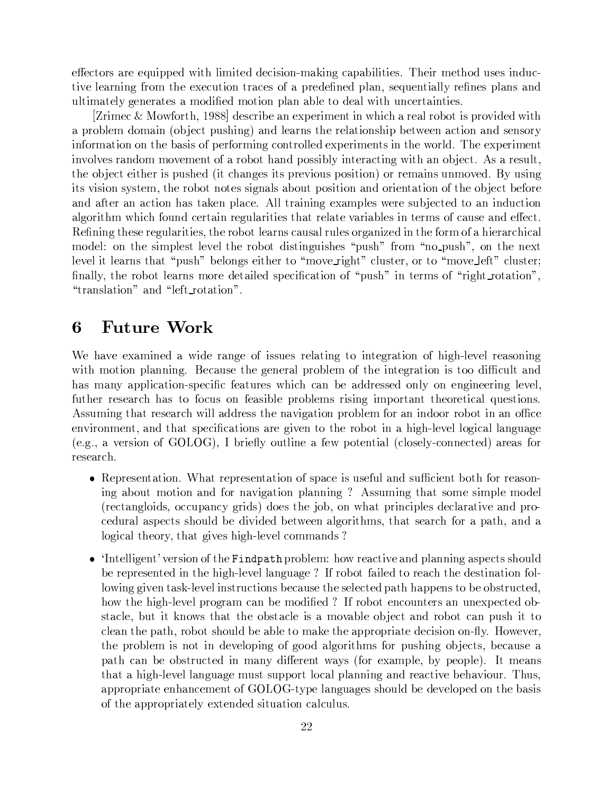effectors are equipped with limited decision-making capabilities. Their method uses inductive learning from the execution traces of a predefined plan, sequentially refines plans and ultimately generates a modified motion plan able to deal with uncertainties.

[Zrimec & Mowforth, 1988] describe an experiment in which a real robot is provided with a problem domain (object pushing) and learns the relationship between action and sensory information on the basis of performing controlled experiments in the world. The experiment involves random movement of a robot hand possibly interacting with an object. As a result, the object either is pushed (it changes its previous position) or remains unmoved. By using its vision system, the robot notes signals about position and orientation of the object before and after an action has taken place. All training examples were subjected to an induction algorithm which found certain regularities that relate variables in terms of cause and effect. Refining these regularities, the robot learns causal rules organized in the form of a hierarchical model: on the simplest level the robot distinguishes "push" from "no-push", on the next level it learns that "push" belongs either to "move\_right" cluster, or to "move\_left" cluster; finally, the robot learns more detailed specification of "push" in terms of "right\_rotation", "translation" and "left\_rotation".

### **Future Work** 6

We have examined a wide range of issues relating to integration of high-level reasoning with motion planning. Because the general problem of the integration is too difficult and has many application-specific features which can be addressed only on engineering level, futther research has to focus on feasible problems rising important theoretical questions. Assuming that research will address the navigation problem for an indoor robot in an office environment, and that specifications are given to the robot in a high-level logical language (e.g., a version of GOLOG), I briefly outline a few potential (closely-connected) areas for research.

- Representation. What representation of space is useful and sufficient both for reasoning about motion and for navigation planning? Assuming that some simple model (rectangloids, occupancy grids) does the job, on what principles declarative and procedural aspects should be divided between algorithms, that search for a path, and a logical theory, that gives high-level commands?
- 'Intelligent' version of the Findpath problem: how reactive and planning aspects should be represented in the high-level language? If robot failed to reach the destination following given task-level instructions because the selected path happens to be obstructed, how the high-level program can be modified? If robot encounters an unexpected obstacle, but it knows that the obstacle is a movable object and robot can push it to clean the path, robot should be able to make the appropriate decision on-fly. However, the problem is not in developing of good algorithms for pushing objects, because a path can be obstructed in many different ways (for example, by people). It means that a high-level language must support local planning and reactive behaviour. Thus, appropriate enhancement of GOLOG-type languages should be developed on the basis of the appropriately extended situation calculus.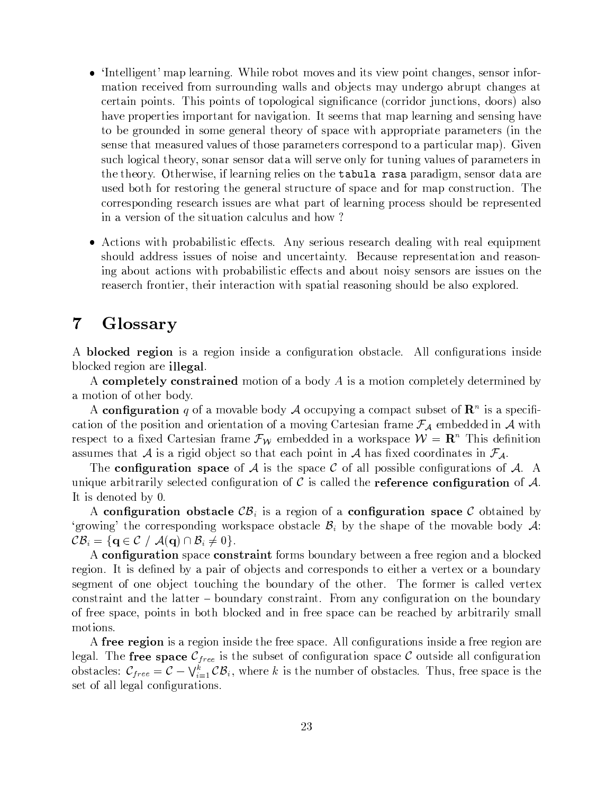- 'Intelligent' map learning. While robot moves and its view point changes, sensor information received from surrounding walls and objects may undergo abrupt changes at certain points. This points of topological significance (corridor junctions, doors) also have properties important for navigation. It seems that map learning and sensing have to be grounded in some general theory of space with appropriate parameters (in the sense that measured values of those parameters correspond to a particular map). Given such logical theory, sonar sensor data will serve only for tuning values of parameters in the theory. Otherwise, if learning relies on the tabula rasa paradigm, sensor data are used both for restoring the general structure of space and for map construction. The corresponding research issues are what part of learning process should be represented in a version of the situation calculus and how?
- Actions with probabilistic effects. Any serious research dealing with real equipment should address issues of noise and uncertainty. Because representation and reasoning about actions with probabilistic effects and about noisy sensors are issues on the reaserch frontier, their interaction with spatial reasoning should be also explored.

### Glossary  $\overline{7}$

A **blocked region** is a region inside a configuration obstacle. All configurations inside blocked region are **illegal**.

A completely constrained motion of a body A is a motion completely determined by a motion of other body.

A configuration q of a movable body A occupying a compact subset of  $\mathbb{R}^n$  is a specification of the position and orientation of a moving Cartesian frame  $\mathcal{F}_{\mathcal{A}}$  embedded in  $\mathcal A$  with respect to a fixed Cartesian frame  $\mathcal{F}_W$  embedded in a workspace  $W = \mathbb{R}^n$  This definition assumes that A is a rigid object so that each point in A has fixed coordinates in  $\mathcal{F}_{\mathcal{A}}$ .

The configuration space of A is the space C of all possible configurations of A. A unique arbitrarily selected configuration of C is called the **reference configuration** of  $\mathcal{A}$ . It is denoted by 0.

A configuration obstacle  $\mathcal{CB}_i$  is a region of a configuration space C obtained by 'growing' the corresponding workspace obstacle  $\mathcal{B}_i$  by the shape of the movable body  $\mathcal{A}$ :  $\mathcal{CB}_i = \{ \mathbf{q} \in \mathcal{C} \mid \mathcal{A}(\mathbf{q}) \cap \mathcal{B}_i \neq 0 \}.$ 

A configuration space constraint forms boundary between a free region and a blocked region. It is defined by a pair of objects and corresponds to either a vertex or a boundary segment of one object touching the boundary of the other. The former is called vertex constraint and the latter – boundary constraint. From any configuration on the boundary of free space, points in both blocked and in free space can be reached by arbitrarily small motions.

A free region is a region inside the free space. All configurations inside a free region are legal. The free space  $\mathcal{C}_{free}$  is the subset of configuration space  $\mathcal C$  outside all configuration obstacles:  $\mathcal{C}_{free} = \mathcal{C} - \bigvee_{i=1}^{k} \mathcal{C} \mathcal{B}_i$ , where k is the number of obstacles. Thus, free space is the set of all legal configurations.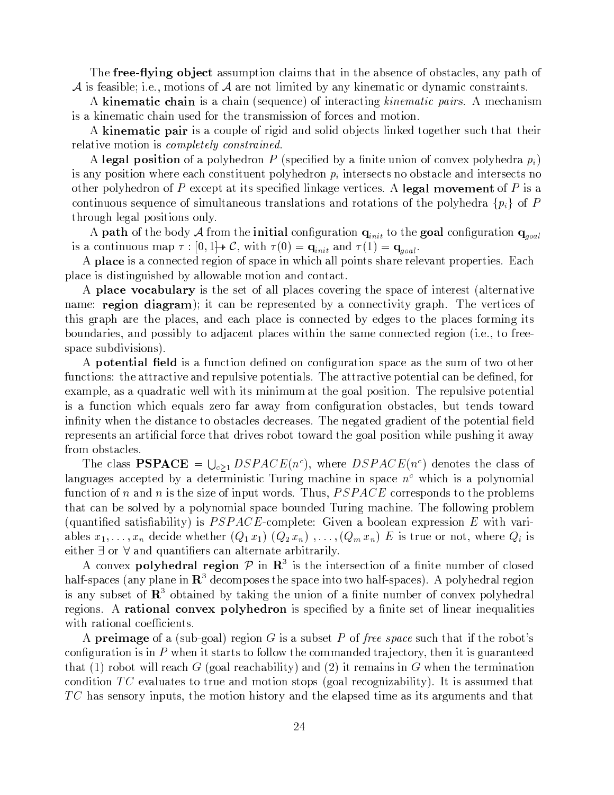The free-flying object assumption claims that in the absence of obstacles, any path of  $\mathcal A$  is feasible; i.e., motions of  $\mathcal A$  are not limited by any kinematic or dynamic constraints.

A kinematic chain is a chain (sequence) of interacting *kinematic pairs*. A mechanism is a kinematic chain used for the transmission of forces and motion.

A kinematic pair is a couple of rigid and solid objects linked together such that their relative motion is *completely constrained*.

A legal position of a polyhedron P (specified by a finite union of convex polyhedra  $p_i$ ) is any position where each constituent polyhedron  $p_i$  intersects no obstacle and intersects no other polyhedron of P except at its specified linkage vertices. A legal movement of P is a continuous sequence of simultaneous translations and rotations of the polyhedra  $\{p_i\}$  of P through legal positions only.

A path of the body  ${\cal A}$  from the initial configuration  ${\bf q}_{init}$  to the goal configuration  ${\bf q}_{goal}$ is a continuous map  $\tau : [0,1] \rightarrow C$ , with  $\tau(0) = \mathbf{q}_{init}$  and  $\tau(1) = \mathbf{q}_{goal}$ .

A place is a connected region of space in which all points share relevant properties. Each place is distinguished by allowable motion and contact.

A place vocabulary is the set of all places covering the space of interest (alternative name: **region diagram**); it can be represented by a connectivity graph. The vertices of this graph are the places, and each place is connected by edges to the places forming its boundaries, and possibly to adjacent places within the same connected region (i.e., to freespace subdivisions).

A **potential field** is a function defined on configuration space as the sum of two other functions: the attractive and repulsive potentials. The attractive potential can be defined, for example, as a quadratic well with its minimum at the goal position. The repulsive potential is a function which equals zero far away from configuration obstacles, but tends toward infinity when the distance to obstacles decreases. The negated gradient of the potential field represents an artificial force that drives robot toward the goal position while pushing it away from obstacles.

The class **PSPACE** =  $\bigcup_{c>1} DSPACE(n^c)$ , where  $DSPACE(n^c)$  denotes the class of languages accepted by a deterministic Turing machine in space  $n<sup>c</sup>$  which is a polynomial function of n and n is the size of input words. Thus,  $PSPACE$  corresponds to the problems that can be solved by a polynomial space bounded Turing machine. The following problem (quantified satisfiability) is  $PSPACE$ -complete: Given a boolean expression E with variables  $x_1, \ldots, x_n$  decide whether  $(Q_1 x_1) (Q_2 x_n)$ ,  $\ldots, (Q_m x_n) E$  is true or not, where  $Q_i$  is either  $\exists$  or  $\forall$  and quantifiers can alternate arbitrarily.

A convex polyhedral region  $\mathcal P$  in  $\mathbb R^3$  is the intersection of a finite number of closed half-spaces (any plane in  $\mathbb{R}^3$  decomposes the space into two half-spaces). A polyhedral region is any subset of  $\mathbf{R}^3$  obtained by taking the union of a finite number of convex polyhedral regions. A **rational convex polyhedron** is specified by a finite set of linear inequalities with rational coefficients.

A **preimage** of a (sub-goal) region G is a subset P of free space such that if the robot's configuration is in  $P$  when it starts to follow the commanded trajectory, then it is guaranteed that (1) robot will reach G (goal reachability) and (2) it remains in G when the termination condition  $TC$  evaluates to true and motion stops (goal recognizability). It is assumed that  $TC$  has sensory inputs, the motion history and the elapsed time as its arguments and that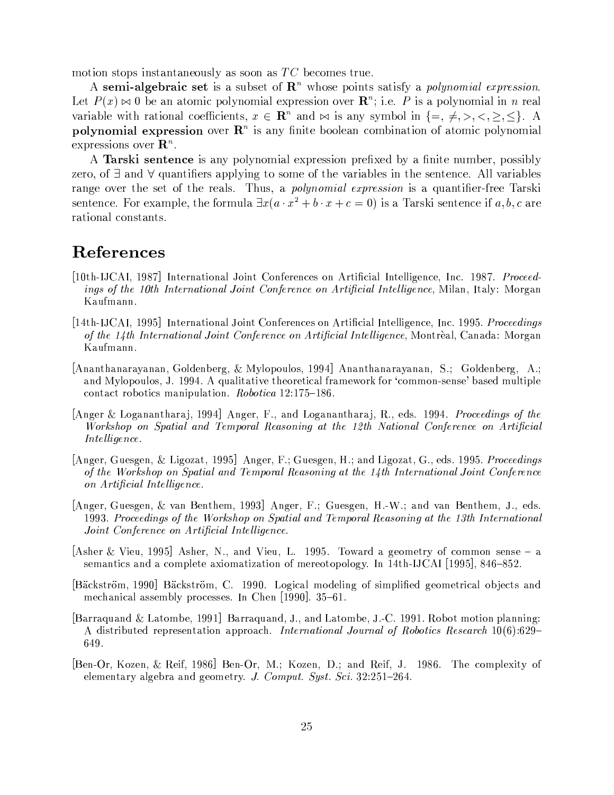motion stops instantaneously as soon as  $TC$  becomes true.

A semi-algebraic set is a subset of  $\mathbb{R}^n$  whose points satisfy a *polynomial expression*. Let  $P(x) \bowtie 0$  be an atomic polynomial expression over  $\mathbb{R}^n$ ; i.e. P is a polynomial in n real variable with rational coefficients,  $x \in \mathbb{R}^n$  and  $\bowtie$  is any symbol in  $\{ =, \neq, >, <, \geq, \leq \}.$  A polynomial expression over  $\mathbb{R}^n$  is any finite boolean combination of atomic polynomial expressions over  $\mathbf{R}^n$ .

A Tarski sentence is any polynomial expression prefixed by a finite number, possibly zero, of  $\exists$  and  $\forall$  quantifiers applying to some of the variables in the sentence. All variables range over the set of the reals. Thus, a *polynomial expression* is a quantifier-free Tarski sentence. For example, the formula  $\exists x(a \cdot x^2 + b \cdot x + c = 0)$  is a Tarski sentence if a, b, c are rational constants.

## References

- [10th-IJCAI, 1987] International Joint Conferences on Artificial Intelligence, Inc. 1987. Proceedings of the 10th International Joint Conference on Artificial Intelligence, Milan, Italy: Morgan Kaufmann.
- [14th-IJCAI, 1995] International Joint Conferences on Artificial Intelligence, Inc. 1995. Proceedings of the 14th International Joint Conference on Artificial Intelligence, Montrèal, Canada: Morgan Kaufmann.
- [Ananthanarayanan, Goldenberg, & Mylopoulos, 1994] Ananthanarayanan, S.; Goldenberg, A.; and Mylopoulos, J. 1994. A qualitative theoretical framework for 'common-sense' based multiple contact robotics manipulation. *Robotica* 12:175-186.
- [Anger & Loganantharaj, 1994] Anger, F., and Loganantharaj, R., eds. 1994. Proceedings of the Workshop on Spatial and Temporal Reasoning at the 12th National Conference on Artificial Intelligence.
- Anger, Guesgen, & Ligozat, 1995 Anger, F.; Guesgen, H.; and Ligozat, G., eds. 1995. Proceedings of the Workshop on Spatial and Temporal Reasoning at the 14th International Joint Conference on Artificial Intelligence.
- [Anger, Guesgen, & van Benthem, 1993] Anger, F.; Guesgen, H.-W.; and van Benthem, J., eds. 1993. Proceedings of the Workshop on Spatial and Temporal Reasoning at the 13th International Joint Conference on Artificial Intelligence.
- [Asher & Vieu, 1995] Asher, N., and Vieu, L. 1995. Toward a geometry of common sense  $-$  a semantics and a complete axiomatization of mereotopology. In 14th-IJCAI [1995], 846–852.
- [Bäckström, 1990] Bäckström, C. 1990. Logical modeling of simplified geometrical objects and mechanical assembly processes. In Chen  $|1990|$ ,  $35-61$ .
- [Barraquand & Latombe, 1991] Barraquand, J., and Latombe, J.-C. 1991. Robot motion planning: A distributed representation approach. International Journal of Robotics Research  $10(6):629-$ 649.
- [Ben-Or, Kozen, & Reif, 1986] Ben-Or, M.; Kozen, D.; and Reif, J. 1986. The complexity of elementary algebra and geometry. J. Comput. Syst. Sci. 32:251-264.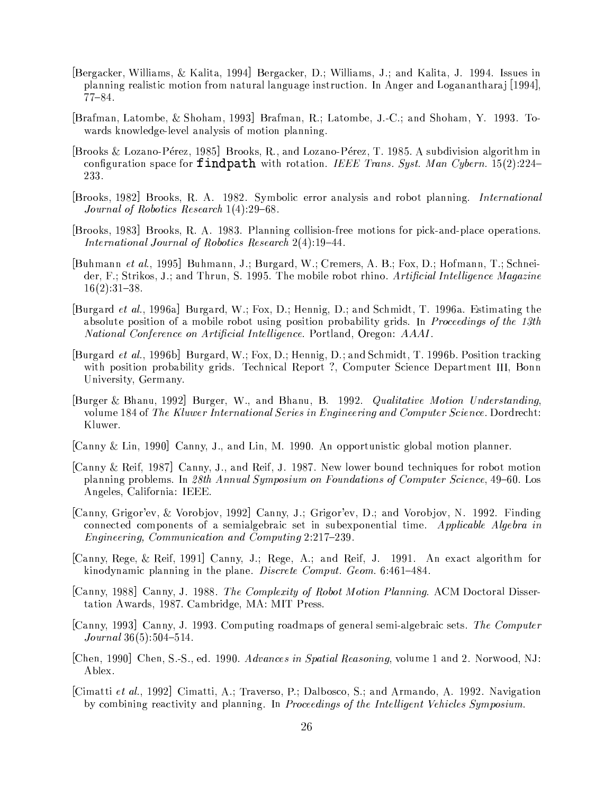- [Bergacker, Williams, & Kalita, 1994] Bergacker, D.; Williams, J.; and Kalita, J. 1994. Issues in planning realistic motion from natural language instruction. In Anger and Loganantharaj [1994],  $77 - 84.$
- [Brafman, Latombe, & Shoham, 1993] Brafman, R.; Latombe, J.-C.; and Shoham, Y. 1993. Towards knowledge-level analysis of motion planning.
- [Brooks & Lozano-Pérez, 1985] Brooks, R., and Lozano-Pérez, T. 1985. A subdivision algorithm in configuration space for **findpath** with rotation. IEEE Trans. Syst. Man Cybern. 15(2):224– 233.
- [Brooks, 1982] Brooks, R. A. 1982. Symbolic error analysis and robot planning. *International* Journal of Robotics Research  $1(4):29-68$ .
- [Brooks, 1983] Brooks, R. A. 1983. Planning collision-free motions for pick-and-place operations. International Journal of Robotics Research 2(4):19-44.
- [Buhmann et al., 1995] Buhmann, J.; Burgard, W.; Cremers, A. B.; Fox, D.; Hofmann, T.; Schneider, F.; Strikos, J.; and Thrun, S. 1995. The mobile robot rhino. Artificial Intelligence Magazine  $16(2):31-38.$
- [Burgard *et al.*, 1996a] Burgard, W.; Fox, D.; Hennig, D.; and Schmidt, T. 1996a. Estimating the absolute position of a mobile robot using position probability grids. In *Proceedings of the 13th* National Conference on Artificial Intelligence. Portland, Oregon: AAAI.
- [Burgard et al., 1996b] Burgard, W.; Fox, D.; Hennig, D.; and Schmidt, T. 1996b. Position tracking with position probability grids. Technical Report ?, Computer Science Department III, Bonn University, Germany.
- [Burger & Bhanu, 1992] Burger, W., and Bhanu, B. 1992. Qualitative Motion Understanding, volume 184 of The Kluwer International Series in Engineering and Computer Science. Dordrecht: Kluwer.
- [Canny & Lin, 1990] Canny, J., and Lin, M. 1990. An opportunistic global motion planner.
- [Canny & Reif, 1987] Canny, J., and Reif, J. 1987. New lower bound techniques for robot motion planning problems. In 28th Annual Symposium on Foundations of Computer Science, 49–60. Los Angeles, California: IEEE.
- [Canny, Grigor'ev, & Vorobjov, 1992] Canny, J.; Grigor'ev, D.; and Vorobjov, N. 1992. Finding connected components of a semialgebraic set in subexponential time. Applicable Algebra in *Engineering, Communication and Computing 2:217-239.*
- [Canny, Rege, & Reif, 1991] Canny, J.; Rege, A.; and Reif, J. 1991. An exact algorithm for kinodynamic planning in the plane. *Discrete Comput. Geom.* 6:461-484.
- [Canny, 1988] Canny, J. 1988. The Complexity of Robot Motion Planning. ACM Doctoral Dissertation Awards, 1987. Cambridge, MA: MIT Press.
- [Canny, 1993] Canny, J. 1993. Computing roadmaps of general semi-algebraic sets. The Computer  $Journal~36(5):504-514.$
- [Chen, 1990] Chen, S.-S., ed. 1990. Advances in Spatial Reasoning, volume 1 and 2. Norwood, NJ: Ablex.
- [Cimatti et al., 1992] Cimatti, A.; Traverso, P.; Dalbosco, S.; and Armando, A. 1992. Navigation by combining reactivity and planning. In Proceedings of the Intelligent Vehicles Symposium.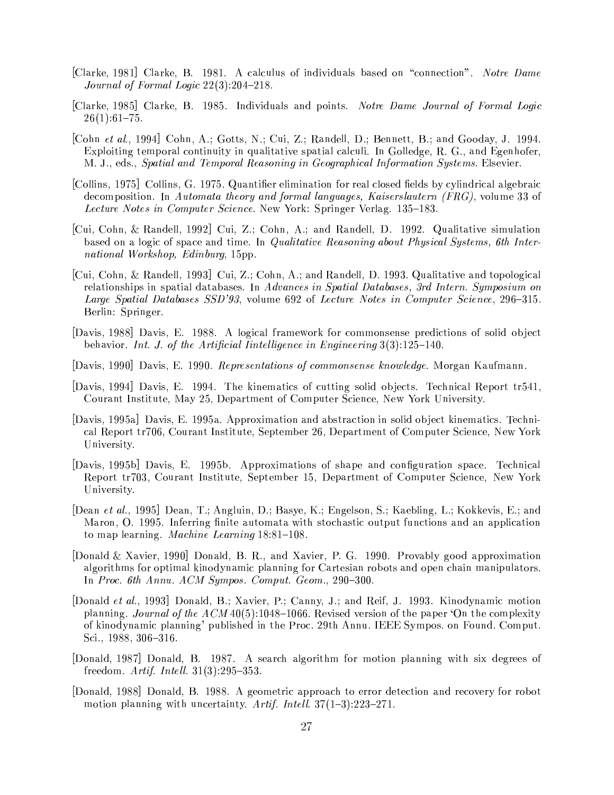- [Clarke, 1981] Clarke, B. 1981. A calculus of individuals based on "connection". Notre Dame Journal of Formal Logic  $22(3):204-218$ .
- [Clarke, 1985] Clarke, B. 1985. Individuals and points. Notre Dame Journal of Formal Logic  $26(1):61-75.$
- [Cohn et al., 1994] Cohn, A.; Gotts, N.; Cui, Z.; Randell, D.; Bennett, B.; and Gooday, J. 1994. Exploiting temporal continuity in qualitative spatial calculi. In Golledge, R. G., and Egenhofer, M. J., eds., Spatial and Temporal Reasoning in Geographical Information Systems. Elsevier.
- [Collins, 1975] Collins, G. 1975. Quantifier elimination for real closed fields by cylindrical algebraic decomposition. In Automata theory and formal languages, Kaiserslautern (FRG), volume 33 of Lecture Notes in Computer Science. New York: Springer Verlag. 135-183.
- $|Cui, Cohn, \& Randell, 1992| Cui, Z.$ ; Cohn, A.; and Randell, D. 1992. Qualitative simulation based on a logic of space and time. In *Qualitative Reasoning about Physical Systems*, 6th International Workshop, Edinburg, 15pp.
- [Cui, Cohn, & Randell, 1993] Cui, Z.; Cohn, A.; and Randell, D. 1993. Qualitative and topological relationships in spatial databases. In Advances in Spatial Databases, 3rd Intern. Symposium on Large Spatial Databases SSD'93, volume 692 of Lecture Notes in Computer Science, 296-315. Berlin: Springer.
- Davis, 1988 Davis, E. 1988. A logical framework for commonsense predictions of solid object behavior. Int. J. of the Artificial Iintelligence in Engineering  $3(3):125-140$ .
- [Davis, 1990] Davis, E. 1990. Representations of commonsense knowledge. Morgan Kaufmann.
- [Davis, 1994] Davis, E. 1994. The kinematics of cutting solid objects. Technical Report tr541, Courant Institute, May 25, Department of Computer Science, New York University.
- [Davis, 1995a] Davis, E. 1995a. Approximation and abstraction in solid object kinematics. Technical Report tr706, Courant Institute, September 26, Department of Computer Science, New York University.
- [Davis, 1995b] Davis, E. 1995b. Approximations of shape and configuration space. Technical Report tr703, Courant Institute, September 15, Department of Computer Science, New York University.
- [Dean et al., 1995] Dean, T.; Angluin, D.; Basye, K.; Engelson, S.; Kaebling, L.; Kokkevis, E.; and Maron, O. 1995. Inferring finite automata with stochastic output functions and an application to map learning. Machine Learning 18:81-108.
- Donald & Xavier, 1990 Donald, B. R., and Xavier, P. G. 1990. Provably good approximation algorithms for optimal kinodynamic planning for Cartesian robots and open chain manipulators. In Proc. 6th Annu. ACM Sympos. Comput. Geom., 290-300.
- [Donald et al., 1993] Donald, B.; Xavier, P.; Canny, J.; and Reif, J. 1993. Kinodynamic motion planning. Journal of the  $ACM40(5)$ :1048-1066. Revised version of the paper 'On the complexity of kinodynamic planning' published in the Proc. 29th Annu. IEEE Sympos. on Found. Comput. Sci.,  $1988, 306 - 316$ .
- [Donald, 1987] Donald, B. 1987. A search algorithm for motion planning with six degrees of freedom. Artif. Intell.  $31(3):295-353$ .
- [Donald, 1988] Donald, B. 1988. A geometric approach to error detection and recovery for robot motion planning with uncertainty. Artif. Intell.  $37(1-3)$ :  $223-271$ .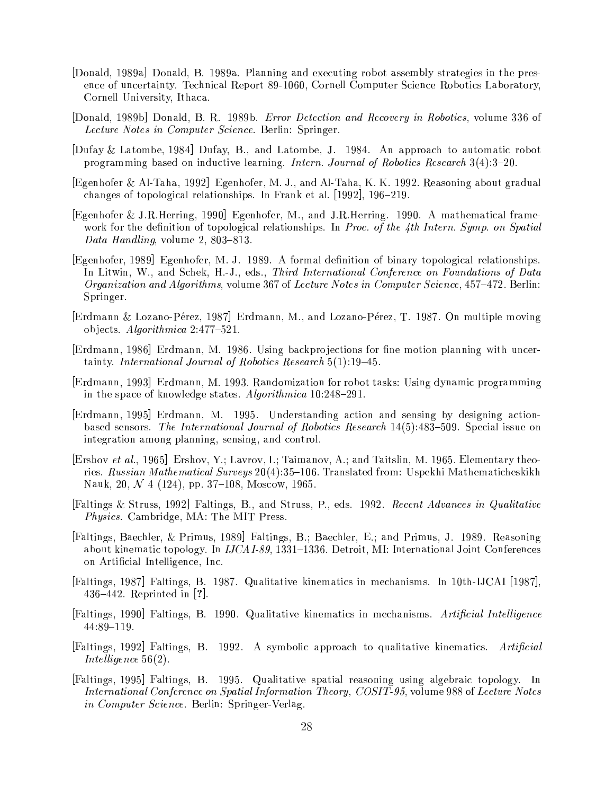- [Donald, 1989a] Donald, B. 1989a. Planning and executing robot assembly strategies in the presence of uncertainty. Technical Report 89-1060, Cornell Computer Science Robotics Laboratory, Cornell University, Ithaca.
- [Donald, 1989b] Donald, B. R. 1989b. *Error Detection and Recovery in Robotics*, volume 336 of *Lecture Notes in Computer Science*. Berlin: Springer.
- Dufay & Latombe, 1984 Dufay, B., and Latombe, J. 1984. An approach to automatic robot programming based on inductive learning. *Intern. Journal of Robotics Research* 3(4):3-20.
- Egenhofer & Al-Taha, 1992 Egenhofer, M. J., and Al-Taha, K. K. 1992. Reasoning about gradual changes of topological relationships. In Frank et al.  $[1992]$ ,  $196-219$ .
- [Egenhofer & J.R.Herring, 1990] Egenhofer, M., and J.R.Herring. 1990. A mathematical framework for the definition of topological relationships. In Proc. of the 4th Intern. Symp. on Spatial Data Handling, volume 2, 803-813.
- [Egenhofer, 1989] Egenhofer, M. J. 1989. A formal definition of binary topological relationships. In Litwin, W., and Schek, H.-J., eds., *Third International Conference on Foundations of Data* Organization and Algorithms, volume 367 of Lecture Notes in Computer Science, 457–472. Berlin: Springer.
- Erdmann & Lozano-Pérez, 1987 Erdmann, M., and Lozano-Pérez, T. 1987. On multiple moving objects. Algorithmica  $2.477-521$ .
- [Erdmann, 1986] Erdmann, M. 1986. Using backprojections for fine motion planning with uncertainty. International Journal of Robotics Research  $5(1)$ :19-45.
- [Erdmann, 1993] Erdmann, M. 1993. Randomization for robot tasks: Using dynamic programming in the space of knowledge states. Algorithmica 10:248-291.
- Erdmann, 1995 Erdmann, M. 1995. Understanding action and sensing by designing actionbased sensors. The International Journal of Robotics Research  $14(5)$ :483-509. Special issue on integration among planning, sensing, and control.
- [Ershov et al., 1965] Ershov, Y.; Lavrov, I.; Taimanov, A.; and Taitslin, M. 1965. Elementary theories. Russian Mathematical Surveys 20(4):35-106. Translated from: Uspekhi Mathematicheskikh Nauk, 20,  $\mathcal N$  4 (124), pp. 37–108, Moscow, 1965.
- [Faltings & Struss, 1992] Faltings, B., and Struss, P., eds. 1992. Recent Advances in Qualitative *Physics.* Cambridge, MA: The MIT Press.
- [Faltings, Baechler, & Primus, 1989] Faltings, B.; Baechler, E.; and Primus, J. 1989. Reasoning about kinematic topology. In  $JCAI-89$ , 1331–1336. Detroit, MI: International Joint Conferences on Artificial Intelligence, Inc.
- [Faltings, 1987] Faltings, B. 1987. Qualitative kinematics in mechanisms. In 10th-IJCAI [1987], 436–442. Reprinted in  $[?]$ .
- Faltings, 1990 Faltings, B. 1990. Qualitative kinematics in mechanisms. Artificial Intelligence  $44:89-119.$
- [Faltings, 1992] Faltings, B. 1992. A symbolic approach to qualitative kinematics. Artificial Intelligence  $56(2)$ .
- [Faltings, 1995] Faltings, B. 1995. Qualitative spatial reasoning using algebraic topology. In International Conference on Spatial Information Theory, COSIT-95, volume 988 of Lecture Notes *in Computer Science*. Berlin: Springer-Verlag.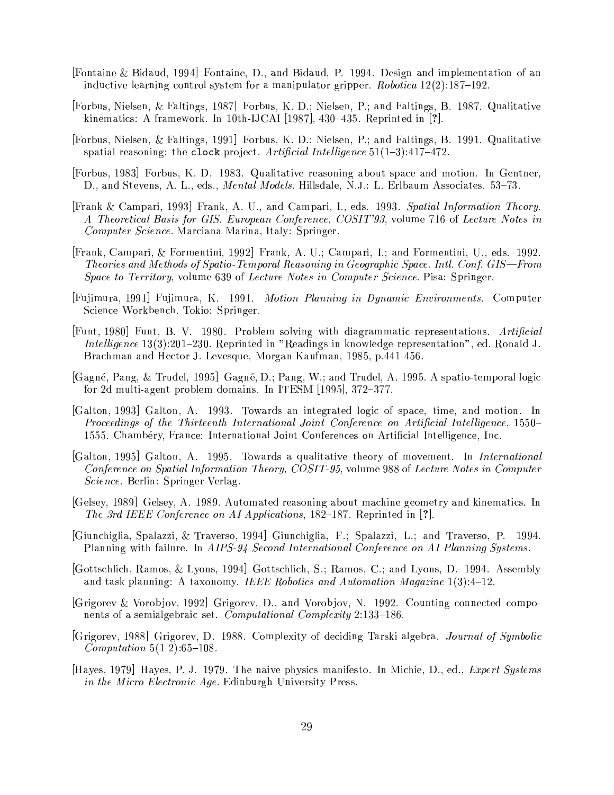- [Fontaine & Bidaud, 1994] Fontaine, D., and Bidaud, P. 1994. Design and implementation of an inductive learning control system for a manipulator gripper. *Robotica*  $12(2)$ :187-192.
- [Forbus, Nielsen, & Faltings, 1987] Forbus, K. D.; Nielsen, P.; and Faltings, B. 1987. Qualitative kinematics: A framework. In 10th-IJCAI [1987], 430–435. Reprinted in [?].
- [Forbus, Nielsen, & Faltings, 1991] Forbus, K. D.; Nielsen, P.; and Faltings, B. 1991. Qualitative spatial reasoning: the clock project. Artificial Intelligence  $51(1-3)$ : 417-472.
- [Forbus, 1983] Forbus, K. D. 1983. Qualitative reasoning about space and motion. In Gentner, D., and Stevens, A. L., eds., *Mental Models*. Hillsdale, N.J.: L. Erlbaum Associates. 53-73.
- Frank & Campari, 1993 Frank, A. U., and Campari, I., eds. 1993. Spatial Information Theory. A Theoretical Basis for GIS. European Conference, COSIT'93, volume 716 of Lecture Notes in Computer Science. Marciana Marina, Italy: Springer.
- [Frank, Campari, & Formentini, 1992] Frank, A. U.; Campari, I.; and Formentini, U., eds. 1992. Theories and Methods of Spatio-Temporal Reasoning in Geographic Space. Intl. Conf. GIS—From Space to Territory, volume 639 of Lecture Notes in Computer Science. Pisa: Springer.
- [Fujimura, 1991] Fujimura, K. 1991. Motion Planning in Dynamic Environments. Computer Science Workbench. Tokio: Springer.
- [Funt, 1980] Funt, B. V. 1980. Problem solving with diagrammatic representations. Artificial Intelligence 13(3):201-230. Reprinted in "Readings in knowledge representation", ed. Ronald J. Brachman and Hector J. Levesque, Morgan Kaufman, 1985, p.441-456.
- Gagné, Pang, & Trudel, 1995 Gagné, D.; Pang, W.; and Trudel, A. 1995. A spatio-temporal logic for 2d multi-agent problem domains. In ITESM [1995], 372-377.
- [Galton, 1993] Galton, A. 1993. Towards an integrated logic of space, time, and motion. In Proceedings of the Thirteenth International Joint Conference on Artificial Intelligence, 1550– 1555. Chambéry, France: International Joint Conferences on Artificial Intelligence, Inc.
- [Galton, 1995] Galton, A. 1995. Towards a qualitative theory of movement. In International Conference on Spatial Information Theory, COSIT-95, volume 988 of Lecture Notes in Computer *Science*. Berlin: Springer-Verlag.
- [Gelsey, 1989] Gelsey, A. 1989. Automated reasoning about machine geometry and kinematics. In The 3rd IEEE Conference on AI Applications, 182–187. Reprinted in [?].
- [Giunchiglia, Spalazzi, & Traverso, 1994] Giunchiglia, F.; Spalazzi, L.; and Traverso, P. 1994. Planning with failure. In AIPS-94 Second International Conference on AI Planning Systems.
- [Gottschlich, Ramos, & Lyons, 1994] Gottschlich, S.; Ramos, C.; and Lyons, D. 1994. Assembly and task planning: A taxonomy. IEEE Robotics and Automation Magazine  $1(3):4-12$ .
- [Grigorev & Vorobjov, 1992] Grigorev, D., and Vorobjov, N. 1992. Counting connected components of a semialgebraic set. Computational Complexity 2:133-186.
- [Grigorev, 1988] Grigorev, D. 1988. Complexity of deciding Tarski algebra. Journal of Symbolic *Computation*  $5(1-2):65-108$ .
- [Hayes, 1979] Hayes, P. J. 1979. The naive physics manifesto. In Michie, D., ed., Expert Systems in the Micro Electronic Age. Edinburgh University Press.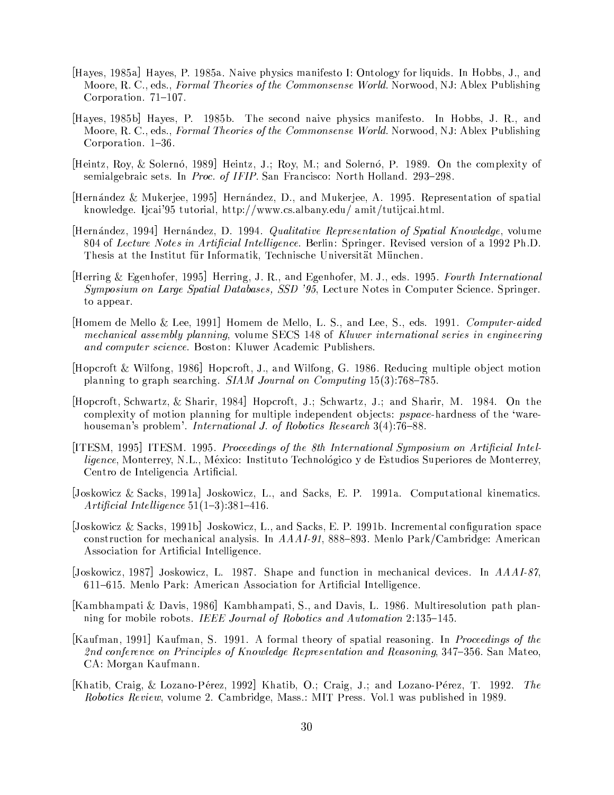- Hayes, 1985a Hayes, P. 1985a. Naive physics manifesto I: Ontology for liquids. In Hobbs, J., and Moore, R. C., eds., *Formal Theories of the Commonsense World*. Norwood, NJ: Ablex Publishing Corporation.  $71-107$ .
- Hayes, 1985b Hayes, P. 1985b. The second naive physics manifesto. In Hobbs, J. R., and Moore, R. C., eds., *Formal Theories of the Commonsense World*. Norwood, NJ: Ablex Publishing Corporation. 1-36.
- [Heintz, Roy, & Solernó, 1989] Heintz, J.; Roy, M.; and Solernó, P. 1989. On the complexity of semialgebraic sets. In Proc. of IFIP. San Francisco: North Holland. 293-298.
- Hernández & Mukerjee, 1995 Hernández, D., and Mukerjee, A. 1995. Representation of spatial knowledge. Ijcai'95 tutorial, http://www.cs.albany.edu/ amit/tutijcai.html.
- [Hernández, 1994] Hernández, D. 1994. *Qualitative Representation of Spatial Knowledge*, volume 804 of Lecture Notes in Artificial Intelligence. Berlin: Springer. Revised version of a 1992 Ph.D. Thesis at the Institut für Informatik, Technische Universität München.
- Herring & Egenhofer, 1995 Herring, J. R., and Egenhofer, M. J., eds. 1995. Fourth International Symposium on Large Spatial Databases, SSD '95, Lecture Notes in Computer Science. Springer. to appear.
- Homem de Mello & Lee, 1991 Homem de Mello, L. S., and Lee, S., eds. 1991. Computer-aided mechanical assembly planning, volume SECS 148 of Kluwer international series in engineering and computer science. Boston: Kluwer Academic Publishers.
- [Hopcroft & Wilfong, 1986] Hopcroft, J., and Wilfong, G. 1986. Reducing multiple object motion planning to graph searching.  $SIAM$  Journal on Computing  $15(3)$ :768–785.
- [Hopcroft, Schwartz, & Sharir, 1984] Hopcroft, J.; Schwartz, J.; and Sharir, M. 1984. On the complexity of motion planning for multiple independent objects: *pspace*-hardness of the 'warehouseman's problem'. *International J. of Robotics Research* 3(4):76–88.
- [ITESM, 1995] ITESM. 1995. Proceedings of the 8th International Symposium on Artificial Intel*ligence*. Monterrey, N.L., México: Instituto Technológico y de Estudios Superiores de Monterrey, Centro de Inteligencia Artificial.
- [Joskowicz & Sacks, 1991a] Joskowicz, L., and Sacks, E. P. 1991a. Computational kinematics. Artificial Intelligence  $51(1-3)$ : 381-416.
- Joskowicz & Sacks, 1991b Joskowicz, L., and Sacks, E. P. 1991b. Incremental configuration space construction for mechanical analysis. In  $AAAI-91$ , 888-893. Menlo Park/Cambridge: American Association for Artificial Intelligence.
- [Joskowicz, 1987] Joskowicz, L. 1987. Shape and function in mechanical devices. In AAAI-87, 611-615. Menlo Park: American Association for Artificial Intelligence.
- [Kambhampati & Davis, 1986] Kambhampati, S., and Davis, L. 1986. Multiresolution path planning for mobile robots. IEEE Journal of Robotics and Automation 2:135-145.
- [Kaufman, 1991] Kaufman, S. 1991. A formal theory of spatial reasoning. In *Proceedings of the* 2nd conference on Principles of Knowledge Representation and Reasoning, 347–356. San Mateo, CA: Morgan Kaufmann.
- [Khatib, Craig, & Lozano-Pérez, 1992] Khatib, O.; Craig, J.; and Lozano-Pérez, T. 1992. The *Robotics Review*, volume 2. Cambridge, Mass.: MIT Press. Vol.1 was published in 1989.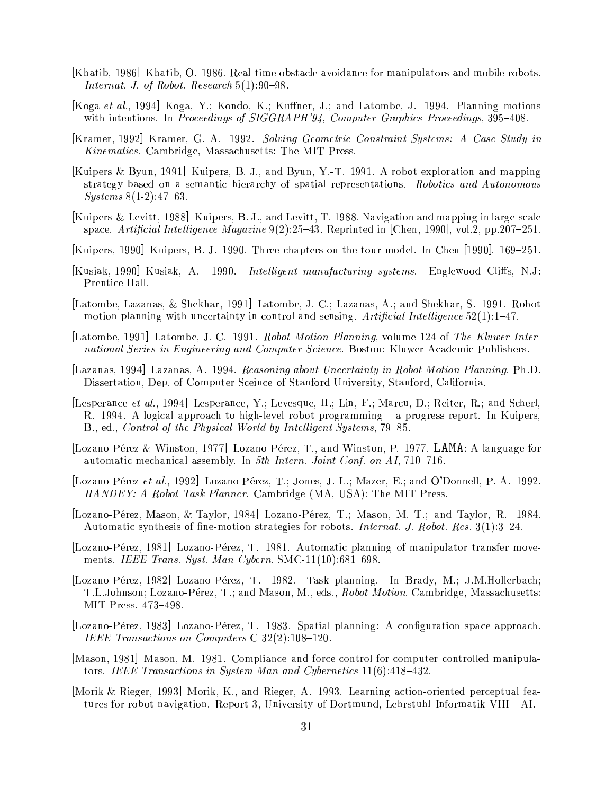- [Khatib, 1986] Khatib, O. 1986. Real-time obstacle avoidance for manipulators and mobile robots. Internat. J. of Robot. Research  $5(1):90-98$ .
- Koga et al., 1994 Koga, Y.; Kondo, K.; Kuffner, J.; and Latombe, J. 1994. Planning motions with intentions. In Proceedings of SIGGRAPH'94, Computer Graphics Proceedings, 395–408.
- [Kramer, 1992] Kramer, G. A. 1992. Solving Geometric Constraint Systems: A Case Study in Kinematics. Cambridge, Massachusetts: The MIT Press.
- [Kuipers & Byun, 1991] Kuipers, B. J., and Byun, Y.-T. 1991. A robot exploration and mapping strategy based on a semantic hierarchy of spatial representations. Robotics and Autonomous  $Systems 8(1-2):47-63.$
- [Kuipers & Levitt, 1988] Kuipers, B. J., and Levitt, T. 1988. Navigation and mapping in large-scale space. Artificial Intelligence Magazine  $9(2)$ :25–43. Reprinted in [Chen, 1990], vol.2, pp.207–251.
- [Kuipers, 1990] Kuipers, B. J. 1990. Three chapters on the tour model. In Chen [1990]. 169–251.
- [Kusiak, 1990] Kusiak, A. 1990. *Intelligent manufacturing systems*. Englewood Cliffs, N.J. Prentice-Hall.
- Latombe, Lazanas, & Shekhar, 1991 Latombe, J.-C.; Lazanas, A.; and Shekhar, S. 1991. Robot motion planning with uncertainty in control and sensing. Artificial Intelligence  $52(1)$ :1-47.
- [Latombe, 1991] Latombe, J.-C. 1991. Robot Motion Planning, volume 124 of The Kluwer International Series in Engineering and Computer Science. Boston: Kluwer Academic Publishers.
- [Lazanas, 1994] Lazanas, A. 1994. Reasoning about Uncertainty in Robot Motion Planning. Ph.D. Dissertation, Dep. of Computer Sceince of Stanford University, Stanford, California.
- [Lesperance *et al.*, 1994] Lesperance, Y.; Levesque, H.; Lin, F.; Marcu, D.; Reiter, R.; and Scherl, R. 1994. A logical approach to high-level robot programming – a progress report. In Kuipers, B., ed., Control of the Physical World by Intelligent Systems, 79-85.
- [Lozano-Pérez & Winston, 1977] Lozano-Pérez, T., and Winston, P. 1977. LAMA: A language for automatic mechanical assembly. In 5th Intern. Joint Conf. on AI, 710–716.
- [Lozano-Pérez et al., 1992] Lozano-Pérez, T.; Jones, J. L.; Mazer, E.; and O'Donnell, P. A. 1992. HANDEY: A Robot Task Planner. Cambridge (MA, USA): The MIT Press.
- [Lozano-Pérez, Mason, & Taylor, 1984] Lozano-Pérez, T.; Mason, M. T.; and Taylor, R. 1984. Automatic synthesis of fine-motion strategies for robots. *Internat. J. Robot. Res.* 3(1):3-24.
- [Lozano-Pérez, 1981] Lozano-Pérez, T. 1981. Automatic planning of manipulator transfer movements. IEEE Trans. Syst. Man Cybern. SMC-11(10):681-698.
- [Lozano-Pérez, 1982] Lozano-Pérez, T. 1982. Task planning. In Brady, M.; J.M.Hollerbach; T.L.Johnson; Lozano-Pérez, T.; and Mason, M., eds., Robot Motion. Cambridge, Massachusetts: MIT Press. 473-498.
- [Lozano-Pérez, 1983] Lozano-Pérez, T. 1983. Spatial planning: A configuration space approach. IEEE Transactions on Computers C-32(2):108-120.
- Mason, 1981 Mason, M. 1981. Compliance and force control for computer controlled manipulators. IEEE Transactions in System Man and Cybernetics  $11(6)$ : 418-432.
- Morik & Rieger, 1993 Morik, K., and Rieger, A. 1993. Learning action-oriented perceptual features for robot navigation. Report 3, University of Dortmund, Lehrstuhl Informatik VIII - AI.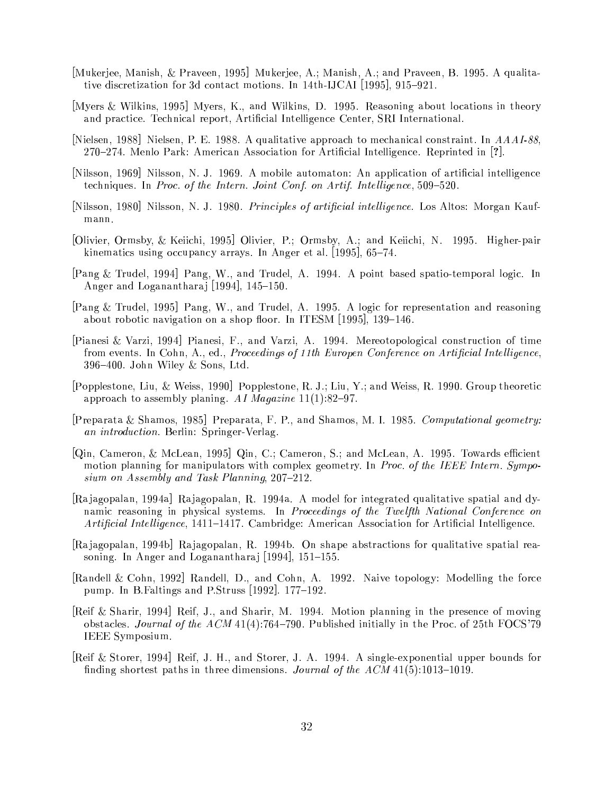- [Mukerjee, Manish, & Praveen, 1995] Mukerjee, A.; Manish, A.; and Praveen, B. 1995. A qualitative discretization for 3d contact motions. In 14th-IJCAI [1995], 915–921.
- [Myers & Wilkins, 1995] Myers, K., and Wilkins, D. 1995. Reasoning about locations in theory and practice. Technical report, Artificial Intelligence Center, SRI International.
- [Nielsen, 1988] Nielsen, P. E. 1988. A qualitative approach to mechanical constraint. In AAAI-88, 270–274. Menlo Park: American Association for Artificial Intelligence. Reprinted in [?].
- Nilsson, 1969 Nilsson, N. J. 1969. A mobile automaton: An application of artificial intelligence techniques. In Proc. of the Intern. Joint Conf. on Artif. Intelligence, 509-520.
- Nilsson, 1980 Nilsson, N. J. 1980. Principles of artificial intelligence. Los Altos: Morgan Kaufmann.
- [Olivier, Ormsby, & Keijchi, 1995] Olivier, P.; Ormsby, A.; and Keijchi, N. 1995. Higher-pair kinematics using occupancy arrays. In Anger et al.  $[1995]$ , 65-74.
- [Pang & Trudel, 1994] Pang, W., and Trudel, A. 1994. A point based spatio-temporal logic. In Anger and Loganantharaj [1994], 145-150.
- [Pang & Trudel, 1995] Pang, W., and Trudel, A. 1995. A logic for representation and reasoning about robotic navigation on a shop floor. In ITESM  $[1995]$ , 139-146.
- Pianesi & Varzi, 1994 Pianesi, F., and Varzi, A. 1994. Mereotopological construction of time from events. In Cohn, A., ed., Proceedings of 11th Europen Conference on Artificial Intelligence,  $396-400$ . John Wiley & Sons, Ltd.
- [Popplestone, Liu, & Weiss, 1990] Popplestone, R. J.; Liu, Y.; and Weiss, R. 1990. Group theoretic approach to assembly planing. AI Magazine  $11(1):82-97$ .
- [Preparata & Shamos, 1985] Preparata, F. P., and Shamos, M. I. 1985. Computational geometry: an introduction. Berlin: Springer-Verlag.
- [Qin, Cameron, & McLean, 1995] Qin, C.; Cameron, S.; and McLean, A. 1995. Towards efficient motion planning for manipulators with complex geometry. In Proc. of the IEEE Intern. Symposium on Assembly and Task Planning, 207-212.
- [Rajagopalan, 1994a] Rajagopalan, R. 1994a. A model for integrated qualitative spatial and dynamic reasoning in physical systems. In Proceedings of the Twelfth National Conference on Artificial Intelligence, 1411-1417. Cambridge: American Association for Artificial Intelligence.
- Rajagopalan, 1994b Rajagopalan, R. 1994b. On shape abstractions for qualitative spatial reasoning. In Anger and Loganantharaj [1994], 151-155.
- [Randell & Cohn, 1992] Randell, D., and Cohn, A. 1992. Naive topology: Modelling the force pump. In B. Faltings and P. Struss [1992]. 177-192.
- [Reif & Sharir, 1994] Reif, J., and Sharir, M. 1994. Motion planning in the presence of moving obstacles. Journal of the ACM 41(4):764-790. Published initially in the Proc. of 25th FOCS'79 IEEE Symposium.
- [Reif & Storer, 1994] Reif, J. H., and Storer, J. A. 1994. A single-exponential upper bounds for finding shortest paths in three dimensions. Journal of the  $ACM$  41(5):1013-1019.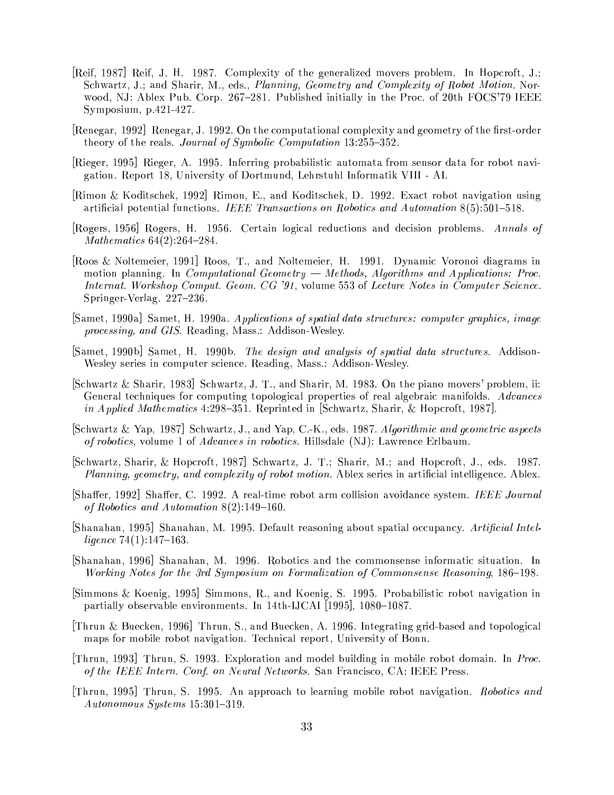- [Reif, 1987] Reif, J. H. 1987. Complexity of the generalized movers problem. In Hopcroft, J.; Schwartz, J.; and Sharir, M., eds., Planning, Geometry and Complexity of Robot Motion. Norwood, NJ: Ablex Pub. Corp. 267–281. Published initially in the Proc. of 20th FOCS'79 IEEE Symposium,  $p.421-427$ .
- Renegar, 1992 Renegar, J. 1992. On the computational complexity and geometry of the first-order theory of the reals. *Journal of Symbolic Computation* 13:255-352.
- [Rieger, 1995] Rieger, A. 1995. Inferring probabilistic automata from sensor data for robot navigation. Report 18, University of Dortmund, Lehrstuhl Informatik VIII - AI.
- [Rimon & Koditschek, 1992] Rimon, E., and Koditschek, D. 1992. Exact robot navigation using artificial potential functions. IEEE Transactions on Robotics and Automation  $8(5):501-518$ .
- Rogers, 1956 Rogers, H. 1956. Certain logical reductions and decision problems. Annals of Mathematics  $64(2):264-284$ .
- Roos & Noltemeier, 1991 Roos, T., and Noltemeier, H. 1991. Dynamic Voronoi diagrams in motion planning. In *Computational Geometry*  $-$  *Methods, Algorithms and Applications: Proc.* Internat. Workshop Comput. Geom. CG '91, volume 553 of Lecture Notes in Computer Science. Springer-Verlag. 227-236.
- [Samet, 1990a] Samet, H. 1990a. Applications of spatial data structures: computer graphics, image *processing, and GIS. Reading, Mass.: Addison-Wesley.*
- Samet, 1990b Samet, H. 1990b. The design and analysis of spatial data structures. Addison-Wesley series in computer science. Reading, Mass.: Addison-Wesley.
- Schwartz & Sharir, 1983. Schwartz, J. T., and Sharir, M. 1983. On the piano movers' problem, ii: General techniques for computing topological properties of real algebraic manifolds. Advances in Applied Mathematics 4:298-351. Reprinted in [Schwartz, Sharir, & Hopcroft, 1987].
- [Schwartz & Yap, 1987] Schwartz, J., and Yap, C.-K., eds. 1987. Algorithmic and geometric aspects of robotics, volume 1 of *Advances in robotics*. Hillsdale (NJ): Lawrence Erlbaum.
- [Schwartz, Sharir, & Hopcroft, 1987] Schwartz, J. T.; Sharir, M.; and Hopcroft, J., eds. 1987. *Planning, geometry, and complexity of robot motion.* Ablex series in artificial intelligence. Ablex.
- Shaffer, 1992 Shaffer, C. 1992. A real-time robot arm collision avoidance system. IEEE Journal of Robotics and Automation  $8(2)$ :149-160.
- [Shanahan, 1995] Shanahan, M. 1995. Default reasoning about spatial occupancy. Artificial Intelligence  $74(1)$ :147-163.
- Shanahan, 1996 Shanahan, M. 1996. Robotics and the commonsense informatic situation. In Working Notes for the 3rd Symposium on Formalization of Commonsense Reasoning, 186–198.
- [Simmons & Koenig, 1995] Simmons, R., and Koenig, S. 1995. Probabilistic robot navigation in partially observable environments. In 14th-IJCAI [1995], 1080-1087.
- [Thrun & Buecken, 1996] Thrun, S., and Buecken, A. 1996. Integrating grid-based and topological maps for mobile robot navigation. Technical report, University of Bonn.
- Thrun, 1993 Thrun, S. 1993. Exploration and model building in mobile robot domain. In *Proc.* of the IEEE Intern. Conf. on Neural Networks. San Francisco, CA: IEEE Press.
- Thrun, 1995 Thrun, S. 1995. An approach to learning mobile robot navigation. Robotics and  $Autonomous\ Systems\ 15:301-319.$